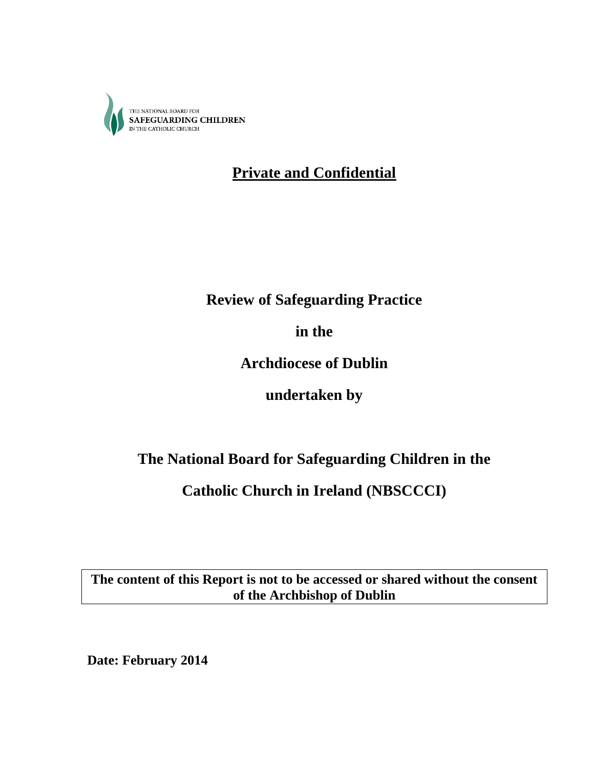

# **Private and Confidential**

# **Review of Safeguarding Practice**

**in the**

**Archdiocese of Dublin**

**undertaken by**

# **The National Board for Safeguarding Children in the**

# **Catholic Church in Ireland (NBSCCCI)**

**The content of this Report is not to be accessed or shared without the consent of the Archbishop of Dublin**

**Date: February 2014**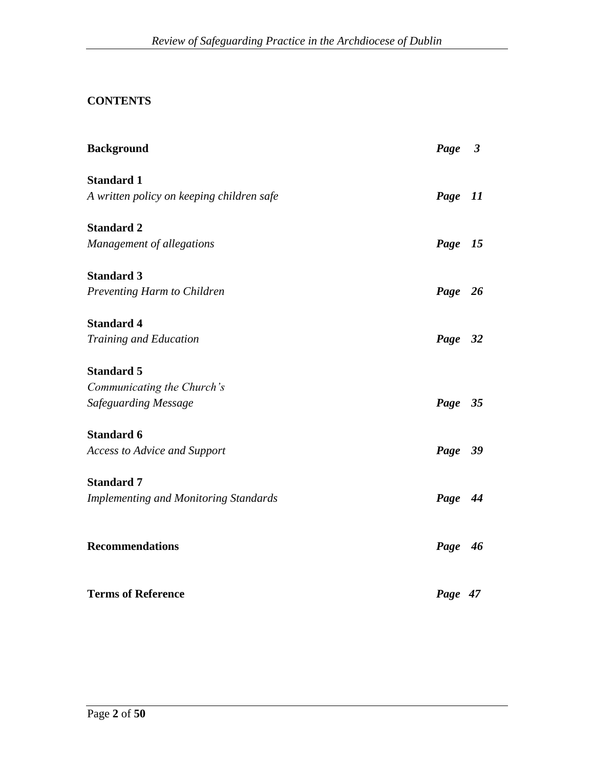## **CONTENTS**

| <b>Background</b>                            | Page 3  |    |
|----------------------------------------------|---------|----|
| <b>Standard 1</b>                            |         |    |
| A written policy on keeping children safe    | Page    | 11 |
| <b>Standard 2</b>                            |         |    |
| Management of allegations                    | Page 15 |    |
| <b>Standard 3</b>                            |         |    |
| Preventing Harm to Children                  | Page 26 |    |
| <b>Standard 4</b>                            |         |    |
| Training and Education                       | Page 32 |    |
| <b>Standard 5</b>                            |         |    |
| Communicating the Church's                   |         |    |
| Safeguarding Message                         | Page 35 |    |
| <b>Standard 6</b>                            |         |    |
| <b>Access to Advice and Support</b>          | Page 39 |    |
| <b>Standard 7</b>                            |         |    |
| <b>Implementing and Monitoring Standards</b> | Page 44 |    |
| <b>Recommendations</b>                       | Page 46 |    |
| <b>Terms of Reference</b>                    | Page 47 |    |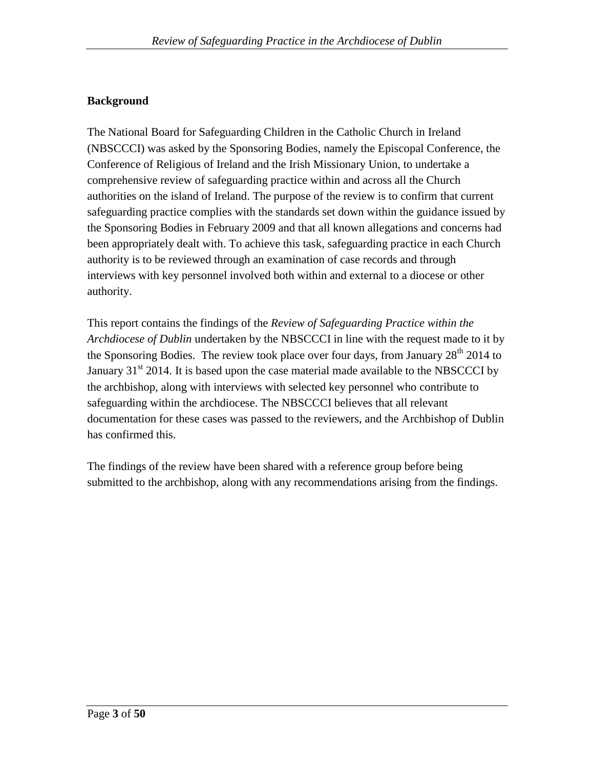## **Background**

The National Board for Safeguarding Children in the Catholic Church in Ireland (NBSCCCI) was asked by the Sponsoring Bodies, namely the Episcopal Conference, the Conference of Religious of Ireland and the Irish Missionary Union, to undertake a comprehensive review of safeguarding practice within and across all the Church authorities on the island of Ireland. The purpose of the review is to confirm that current safeguarding practice complies with the standards set down within the guidance issued by the Sponsoring Bodies in February 2009 and that all known allegations and concerns had been appropriately dealt with. To achieve this task, safeguarding practice in each Church authority is to be reviewed through an examination of case records and through interviews with key personnel involved both within and external to a diocese or other authority.

This report contains the findings of the *Review of Safeguarding Practice within the Archdiocese of Dublin* undertaken by the NBSCCCI in line with the request made to it by the Sponsoring Bodies. The review took place over four days, from January  $28<sup>th</sup> 2014$  to January  $31<sup>st</sup>$  2014. It is based upon the case material made available to the NBSCCCI by the archbishop, along with interviews with selected key personnel who contribute to safeguarding within the archdiocese. The NBSCCCI believes that all relevant documentation for these cases was passed to the reviewers, and the Archbishop of Dublin has confirmed this.

The findings of the review have been shared with a reference group before being submitted to the archbishop, along with any recommendations arising from the findings.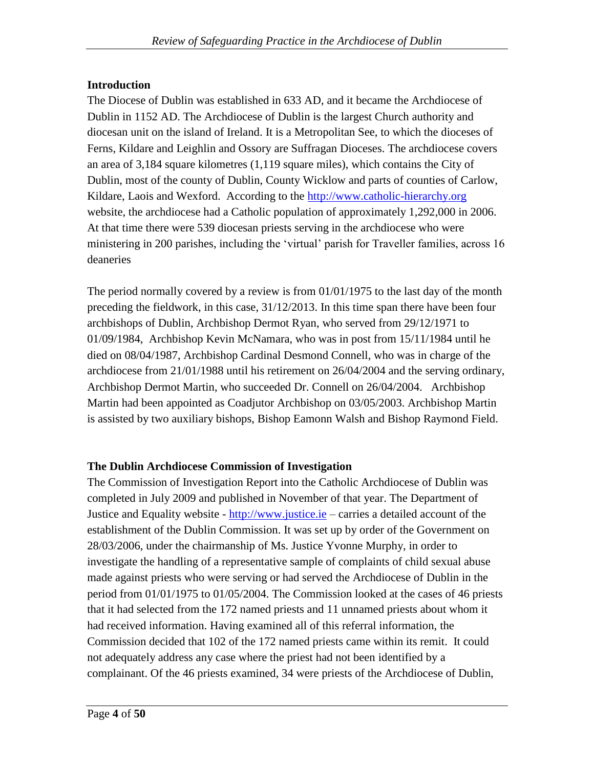## **Introduction**

The Diocese of Dublin was established in 633 AD, and it became the Archdiocese of Dublin in 1152 AD. The Archdiocese of Dublin is the largest Church authority and diocesan unit on the island of Ireland. It is a Metropolitan See, to which the dioceses of Ferns, Kildare and Leighlin and Ossory are Suffragan Dioceses. The archdiocese covers an area of 3,184 square kilometres (1,119 square miles), which contains the City of Dublin, most of the county of Dublin, County Wicklow and parts of counties of Carlow, Kildare, Laois and Wexford. According to the [http://www.catholic-hierarchy.org](http://www.catholic-hierarchy.org/)  website, the archdiocese had a Catholic population of approximately 1,292,000 in 2006. At that time there were 539 diocesan priests serving in the archdiocese who were ministering in 200 parishes, including the "virtual" parish for Traveller families, across 16 deaneries

The period normally covered by a review is from 01/01/1975 to the last day of the month preceding the fieldwork, in this case, 31/12/2013. In this time span there have been four archbishops of Dublin, Archbishop Dermot Ryan, who served from 29/12/1971 to 01/09/1984, Archbishop Kevin McNamara, who was in post from 15/11/1984 until he died on 08/04/1987, Archbishop Cardinal Desmond Connell, who was in charge of the archdiocese from 21/01/1988 until his retirement on 26/04/2004 and the serving ordinary, Archbishop Dermot Martin, who succeeded Dr. Connell on 26/04/2004. Archbishop Martin had been appointed as Coadjutor Archbishop on 03/05/2003. Archbishop Martin is assisted by two auxiliary bishops, Bishop Eamonn Walsh and Bishop Raymond Field.

## **The Dublin Archdiocese Commission of Investigation**

The Commission of Investigation Report into the Catholic Archdiocese of Dublin was completed in July 2009 and published in November of that year. The Department of Justice and Equality website - [http://www.justice.ie](http://www.justice.ie/) – carries a detailed account of the establishment of the Dublin Commission. It was set up by order of the Government on 28/03/2006, under the chairmanship of Ms. Justice Yvonne Murphy, in order to investigate the handling of a representative sample of complaints of child sexual abuse made against priests who were serving or had served the Archdiocese of Dublin in the period from 01/01/1975 to 01/05/2004. The Commission looked at the cases of 46 priests that it had selected from the 172 named priests and 11 unnamed priests about whom it had received information. Having examined all of this referral information, the Commission decided that 102 of the 172 named priests came within its remit. It could not adequately address any case where the priest had not been identified by a complainant. Of the 46 priests examined, 34 were priests of the Archdiocese of Dublin,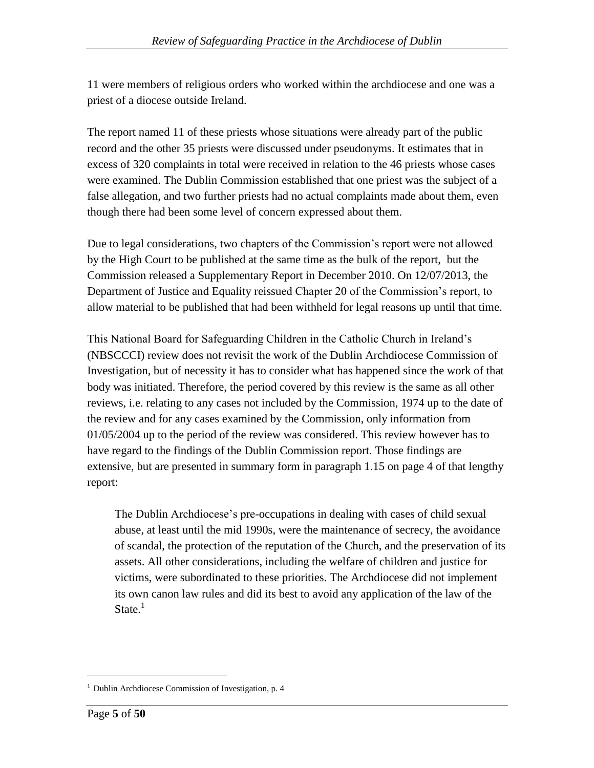11 were members of religious orders who worked within the archdiocese and one was a priest of a diocese outside Ireland.

The report named 11 of these priests whose situations were already part of the public record and the other 35 priests were discussed under pseudonyms. It estimates that in excess of 320 complaints in total were received in relation to the 46 priests whose cases were examined. The Dublin Commission established that one priest was the subject of a false allegation, and two further priests had no actual complaints made about them, even though there had been some level of concern expressed about them.

Due to legal considerations, two chapters of the Commission"s report were not allowed by the High Court to be published at the same time as the bulk of the report, but the Commission released a Supplementary Report in December 2010. On 12/07/2013, the Department of Justice and Equality reissued Chapter 20 of the Commission"s report, to allow material to be published that had been withheld for legal reasons up until that time.

This National Board for Safeguarding Children in the Catholic Church in Ireland"s (NBSCCCI) review does not revisit the work of the Dublin Archdiocese Commission of Investigation, but of necessity it has to consider what has happened since the work of that body was initiated. Therefore, the period covered by this review is the same as all other reviews, i.e. relating to any cases not included by the Commission, 1974 up to the date of the review and for any cases examined by the Commission, only information from 01/05/2004 up to the period of the review was considered. This review however has to have regard to the findings of the Dublin Commission report. Those findings are extensive, but are presented in summary form in paragraph 1.15 on page 4 of that lengthy report:

The Dublin Archdiocese"s pre-occupations in dealing with cases of child sexual abuse, at least until the mid 1990s, were the maintenance of secrecy, the avoidance of scandal, the protection of the reputation of the Church, and the preservation of its assets. All other considerations, including the welfare of children and justice for victims, were subordinated to these priorities. The Archdiocese did not implement its own canon law rules and did its best to avoid any application of the law of the State. $<sup>1</sup>$ </sup>

<sup>&</sup>lt;sup>1</sup> Dublin Archdiocese Commission of Investigation, p. 4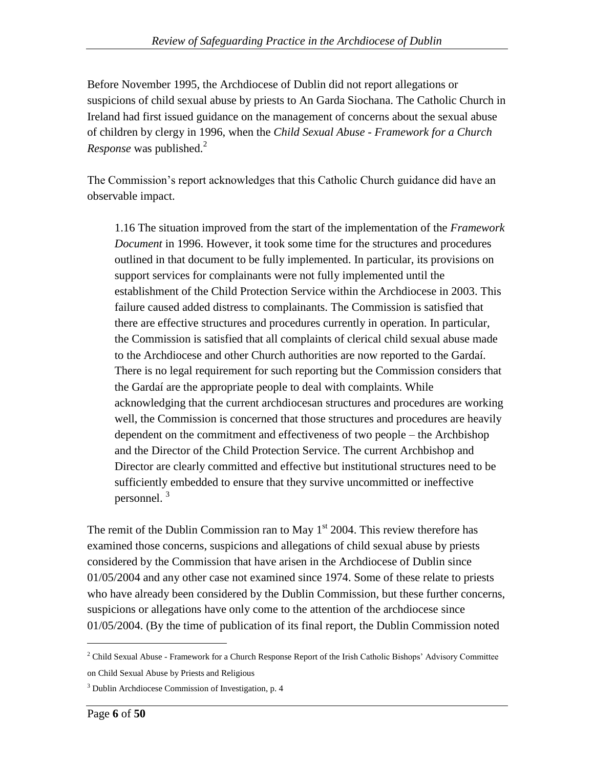Before November 1995, the Archdiocese of Dublin did not report allegations or suspicions of child sexual abuse by priests to An Garda Siochana. The Catholic Church in Ireland had first issued guidance on the management of concerns about the sexual abuse of children by clergy in 1996, when the *Child Sexual Abuse - Framework for a Church Response* was published.<sup>2</sup>

The Commission"s report acknowledges that this Catholic Church guidance did have an observable impact.

1.16 The situation improved from the start of the implementation of the *Framework Document* in 1996. However, it took some time for the structures and procedures outlined in that document to be fully implemented. In particular, its provisions on support services for complainants were not fully implemented until the establishment of the Child Protection Service within the Archdiocese in 2003. This failure caused added distress to complainants. The Commission is satisfied that there are effective structures and procedures currently in operation. In particular, the Commission is satisfied that all complaints of clerical child sexual abuse made to the Archdiocese and other Church authorities are now reported to the Gardaí. There is no legal requirement for such reporting but the Commission considers that the Gardaí are the appropriate people to deal with complaints. While acknowledging that the current archdiocesan structures and procedures are working well, the Commission is concerned that those structures and procedures are heavily dependent on the commitment and effectiveness of two people – the Archbishop and the Director of the Child Protection Service. The current Archbishop and Director are clearly committed and effective but institutional structures need to be sufficiently embedded to ensure that they survive uncommitted or ineffective personnel. <sup>3</sup>

The remit of the Dublin Commission ran to May  $1<sup>st</sup>$  2004. This review therefore has examined those concerns, suspicions and allegations of child sexual abuse by priests considered by the Commission that have arisen in the Archdiocese of Dublin since 01/05/2004 and any other case not examined since 1974. Some of these relate to priests who have already been considered by the Dublin Commission, but these further concerns, suspicions or allegations have only come to the attention of the archdiocese since 01/05/2004. (By the time of publication of its final report, the Dublin Commission noted

<sup>&</sup>lt;sup>2</sup> Child Sexual Abuse - Framework for a Church Response Report of the Irish Catholic Bishops' Advisory Committee on Child Sexual Abuse by Priests and Religious

<sup>3</sup> Dublin Archdiocese Commission of Investigation, p. 4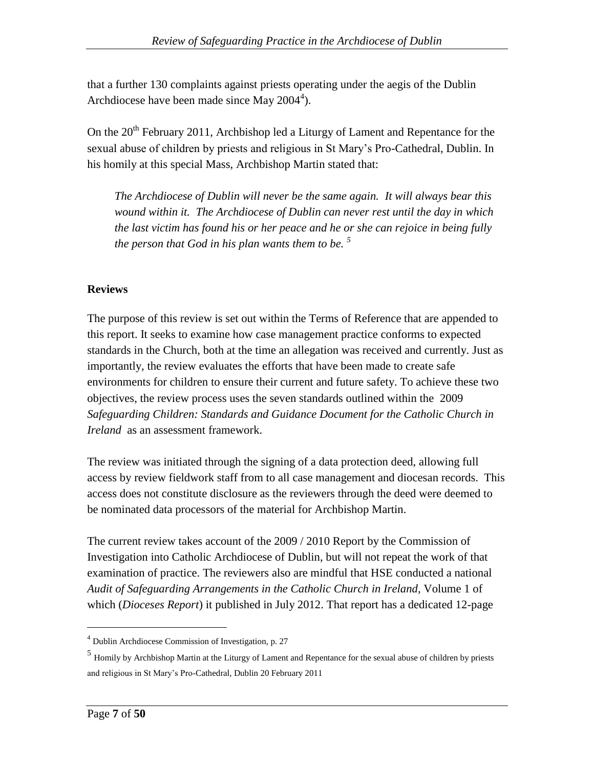that a further 130 complaints against priests operating under the aegis of the Dublin Archdiocese have been made since May  $2004<sup>4</sup>$ ).

On the  $20<sup>th</sup>$  February 2011, Archbishop led a Liturgy of Lament and Repentance for the sexual abuse of children by priests and religious in St Mary"s Pro-Cathedral, Dublin. In his homily at this special Mass, Archbishop Martin stated that:

*The Archdiocese of Dublin will never be the same again. It will always bear this wound within it. The Archdiocese of Dublin can never rest until the day in which the last victim has found his or her peace and he or she can rejoice in being fully the person that God in his plan wants them to be. <sup>5</sup>*

## **Reviews**

The purpose of this review is set out within the Terms of Reference that are appended to this report. It seeks to examine how case management practice conforms to expected standards in the Church, both at the time an allegation was received and currently. Just as importantly, the review evaluates the efforts that have been made to create safe environments for children to ensure their current and future safety. To achieve these two objectives, the review process uses the seven standards outlined within the 2009 *Safeguarding Children: Standards and Guidance Document for the Catholic Church in Ireland* as an assessment framework.

The review was initiated through the signing of a data protection deed, allowing full access by review fieldwork staff from to all case management and diocesan records. This access does not constitute disclosure as the reviewers through the deed were deemed to be nominated data processors of the material for Archbishop Martin.

The current review takes account of the 2009 / 2010 Report by the Commission of Investigation into Catholic Archdiocese of Dublin, but will not repeat the work of that examination of practice. The reviewers also are mindful that HSE conducted a national *Audit of Safeguarding Arrangements in the Catholic Church in Ireland*, Volume 1 of which (*Dioceses Report*) it published in July 2012. That report has a dedicated 12-page

 $4$  Dublin Archdiocese Commission of Investigation, p. 27

<sup>5</sup> Homily by Archbishop Martin at the Liturgy of Lament and Repentance for the sexual abuse of children by priests and religious in St Mary"s Pro-Cathedral, Dublin 20 February 2011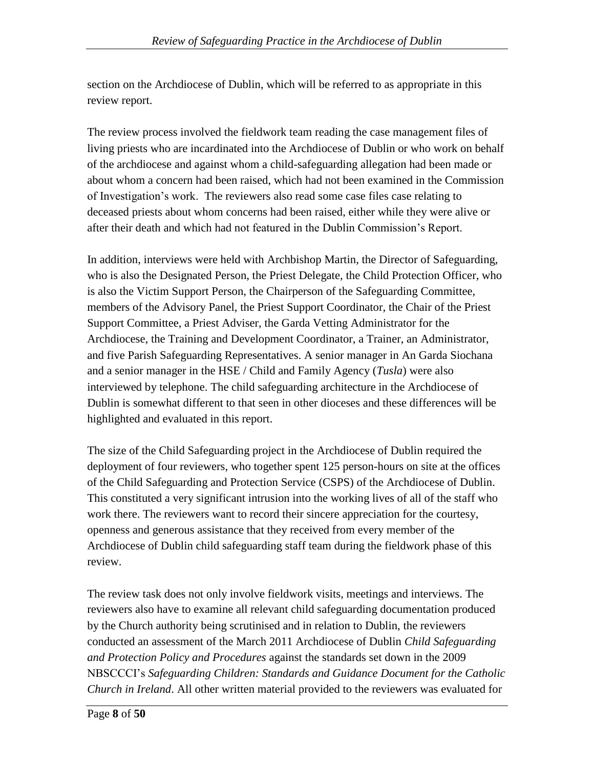section on the Archdiocese of Dublin, which will be referred to as appropriate in this review report.

The review process involved the fieldwork team reading the case management files of living priests who are incardinated into the Archdiocese of Dublin or who work on behalf of the archdiocese and against whom a child-safeguarding allegation had been made or about whom a concern had been raised, which had not been examined in the Commission of Investigation"s work. The reviewers also read some case files case relating to deceased priests about whom concerns had been raised, either while they were alive or after their death and which had not featured in the Dublin Commission"s Report.

In addition, interviews were held with Archbishop Martin, the Director of Safeguarding, who is also the Designated Person, the Priest Delegate, the Child Protection Officer, who is also the Victim Support Person, the Chairperson of the Safeguarding Committee, members of the Advisory Panel, the Priest Support Coordinator, the Chair of the Priest Support Committee, a Priest Adviser, the Garda Vetting Administrator for the Archdiocese, the Training and Development Coordinator, a Trainer, an Administrator, and five Parish Safeguarding Representatives. A senior manager in An Garda Siochana and a senior manager in the HSE / Child and Family Agency (*Tusla*) were also interviewed by telephone. The child safeguarding architecture in the Archdiocese of Dublin is somewhat different to that seen in other dioceses and these differences will be highlighted and evaluated in this report.

The size of the Child Safeguarding project in the Archdiocese of Dublin required the deployment of four reviewers, who together spent 125 person-hours on site at the offices of the Child Safeguarding and Protection Service (CSPS) of the Archdiocese of Dublin. This constituted a very significant intrusion into the working lives of all of the staff who work there. The reviewers want to record their sincere appreciation for the courtesy, openness and generous assistance that they received from every member of the Archdiocese of Dublin child safeguarding staff team during the fieldwork phase of this review.

The review task does not only involve fieldwork visits, meetings and interviews. The reviewers also have to examine all relevant child safeguarding documentation produced by the Church authority being scrutinised and in relation to Dublin, the reviewers conducted an assessment of the March 2011 Archdiocese of Dublin *Child Safeguarding and Protection Policy and Procedures* against the standards set down in the 2009 NBSCCCI"s *Safeguarding Children: Standards and Guidance Document for the Catholic Church in Ireland*. All other written material provided to the reviewers was evaluated for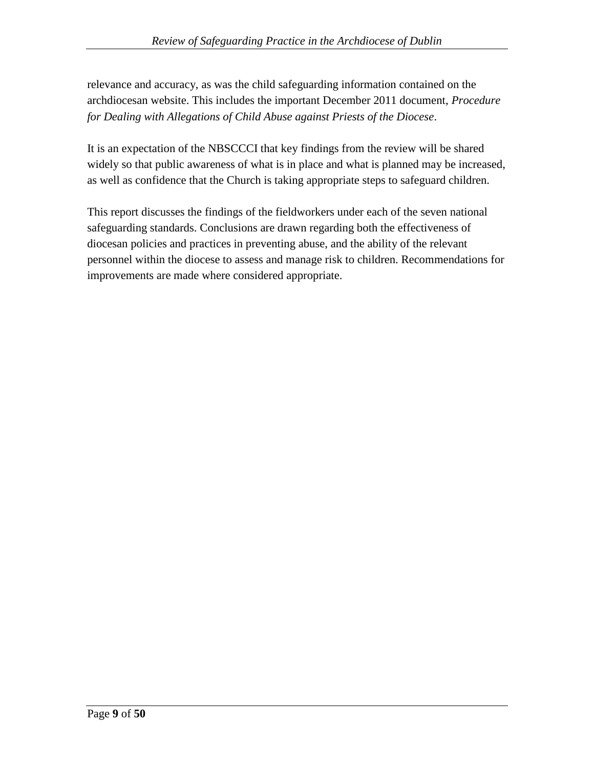relevance and accuracy, as was the child safeguarding information contained on the archdiocesan website. This includes the important December 2011 document, *Procedure for Dealing with Allegations of Child Abuse against Priests of the Diocese*.

It is an expectation of the NBSCCCI that key findings from the review will be shared widely so that public awareness of what is in place and what is planned may be increased, as well as confidence that the Church is taking appropriate steps to safeguard children.

This report discusses the findings of the fieldworkers under each of the seven national safeguarding standards. Conclusions are drawn regarding both the effectiveness of diocesan policies and practices in preventing abuse, and the ability of the relevant personnel within the diocese to assess and manage risk to children. Recommendations for improvements are made where considered appropriate.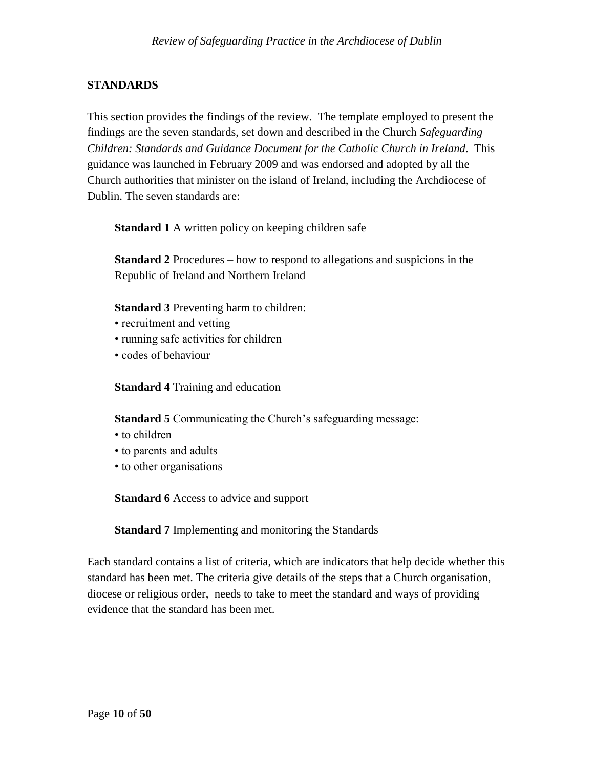## **STANDARDS**

This section provides the findings of the review. The template employed to present the findings are the seven standards, set down and described in the Church *Safeguarding Children: Standards and Guidance Document for the Catholic Church in Ireland*. This guidance was launched in February 2009 and was endorsed and adopted by all the Church authorities that minister on the island of Ireland, including the Archdiocese of Dublin. The seven standards are:

**Standard 1** A written policy on keeping children safe

**Standard 2** Procedures – how to respond to allegations and suspicions in the Republic of Ireland and Northern Ireland

**Standard 3** Preventing harm to children:

- recruitment and vetting
- running safe activities for children
- codes of behaviour

**Standard 4** Training and education

**Standard 5** Communicating the Church's safeguarding message:

- to children
- to parents and adults
- to other organisations

**Standard 6** Access to advice and support

**Standard 7** Implementing and monitoring the Standards

Each standard contains a list of criteria, which are indicators that help decide whether this standard has been met. The criteria give details of the steps that a Church organisation, diocese or religious order, needs to take to meet the standard and ways of providing evidence that the standard has been met.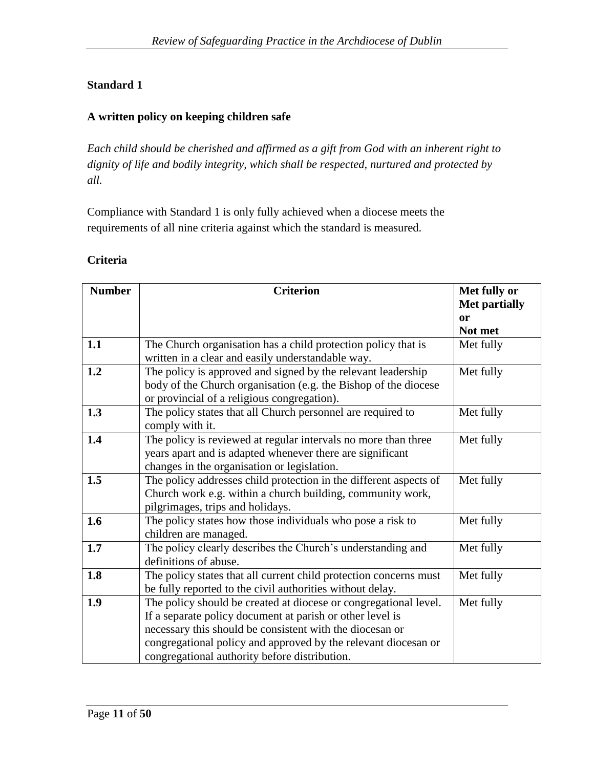## **Standard 1**

## **A written policy on keeping children safe**

*Each child should be cherished and affirmed as a gift from God with an inherent right to dignity of life and bodily integrity, which shall be respected, nurtured and protected by all.*

Compliance with Standard 1 is only fully achieved when a diocese meets the requirements of all nine criteria against which the standard is measured.

| <b>Criteria</b> |  |
|-----------------|--|
|                 |  |

| <b>Number</b> | <b>Criterion</b>                                                  | Met fully or         |
|---------------|-------------------------------------------------------------------|----------------------|
|               |                                                                   | <b>Met partially</b> |
|               |                                                                   | or                   |
|               |                                                                   | Not met              |
| 1.1           | The Church organisation has a child protection policy that is     | Met fully            |
|               | written in a clear and easily understandable way.                 |                      |
| 1.2           | The policy is approved and signed by the relevant leadership      | Met fully            |
|               | body of the Church organisation (e.g. the Bishop of the diocese   |                      |
|               | or provincial of a religious congregation).                       |                      |
| 1.3           | The policy states that all Church personnel are required to       | Met fully            |
|               | comply with it.                                                   |                      |
| 1.4           | The policy is reviewed at regular intervals no more than three    | Met fully            |
|               | years apart and is adapted whenever there are significant         |                      |
|               | changes in the organisation or legislation.                       |                      |
| 1.5           | The policy addresses child protection in the different aspects of | Met fully            |
|               | Church work e.g. within a church building, community work,        |                      |
|               | pilgrimages, trips and holidays.                                  |                      |
| 1.6           | The policy states how those individuals who pose a risk to        | Met fully            |
|               | children are managed.                                             |                      |
| 1.7           | The policy clearly describes the Church's understanding and       | Met fully            |
|               | definitions of abuse.                                             |                      |
| 1.8           | The policy states that all current child protection concerns must | Met fully            |
|               | be fully reported to the civil authorities without delay.         |                      |
| 1.9           | The policy should be created at diocese or congregational level.  | Met fully            |
|               | If a separate policy document at parish or other level is         |                      |
|               | necessary this should be consistent with the diocesan or          |                      |
|               | congregational policy and approved by the relevant diocesan or    |                      |
|               | congregational authority before distribution.                     |                      |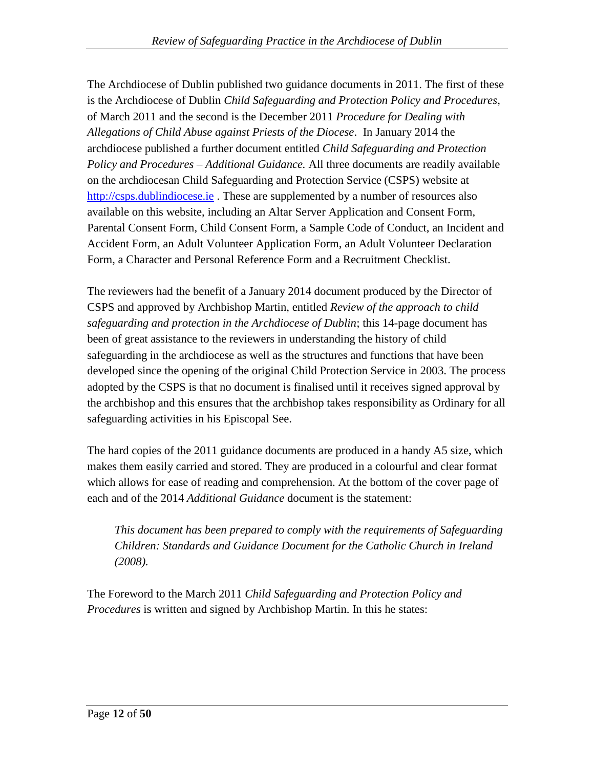The Archdiocese of Dublin published two guidance documents in 2011. The first of these is the Archdiocese of Dublin *Child Safeguarding and Protection Policy and Procedures*, of March 2011 and the second is the December 2011 *Procedure for Dealing with Allegations of Child Abuse against Priests of the Diocese*. In January 2014 the archdiocese published a further document entitled *Child Safeguarding and Protection Policy and Procedures – Additional Guidance.* All three documents are readily available on the archdiocesan Child Safeguarding and Protection Service (CSPS) website at [http://csps.dublindiocese.ie](http://csps.dublindiocese.ie/). These are supplemented by a number of resources also available on this website, including an Altar Server Application and Consent Form, Parental Consent Form, Child Consent Form, a Sample Code of Conduct, an Incident and Accident Form, an Adult Volunteer Application Form, an Adult Volunteer Declaration Form, a Character and Personal Reference Form and a Recruitment Checklist.

The reviewers had the benefit of a January 2014 document produced by the Director of CSPS and approved by Archbishop Martin, entitled *Review of the approach to child safeguarding and protection in the Archdiocese of Dublin*; this 14-page document has been of great assistance to the reviewers in understanding the history of child safeguarding in the archdiocese as well as the structures and functions that have been developed since the opening of the original Child Protection Service in 2003. The process adopted by the CSPS is that no document is finalised until it receives signed approval by the archbishop and this ensures that the archbishop takes responsibility as Ordinary for all safeguarding activities in his Episcopal See.

The hard copies of the 2011 guidance documents are produced in a handy A5 size, which makes them easily carried and stored. They are produced in a colourful and clear format which allows for ease of reading and comprehension. At the bottom of the cover page of each and of the 2014 *Additional Guidance* document is the statement:

*This document has been prepared to comply with the requirements of Safeguarding Children: Standards and Guidance Document for the Catholic Church in Ireland (2008).*

The Foreword to the March 2011 *Child Safeguarding and Protection Policy and Procedures* is written and signed by Archbishop Martin. In this he states: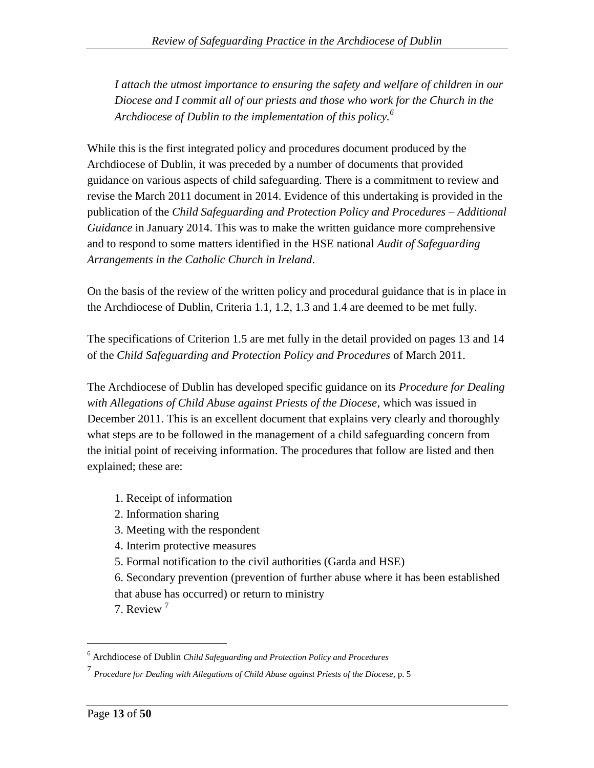*I attach the utmost importance to ensuring the safety and welfare of children in our Diocese and I commit all of our priests and those who work for the Church in the Archdiocese of Dublin to the implementation of this policy.<sup>6</sup>*

While this is the first integrated policy and procedures document produced by the Archdiocese of Dublin, it was preceded by a number of documents that provided guidance on various aspects of child safeguarding. There is a commitment to review and revise the March 2011 document in 2014. Evidence of this undertaking is provided in the publication of the *Child Safeguarding and Protection Policy and Procedures – Additional Guidance* in January 2014. This was to make the written guidance more comprehensive and to respond to some matters identified in the HSE national *Audit of Safeguarding Arrangements in the Catholic Church in Ireland*.

On the basis of the review of the written policy and procedural guidance that is in place in the Archdiocese of Dublin, Criteria 1.1, 1.2, 1.3 and 1.4 are deemed to be met fully.

The specifications of Criterion 1.5 are met fully in the detail provided on pages 13 and 14 of the *Child Safeguarding and Protection Policy and Procedures* of March 2011.

The Archdiocese of Dublin has developed specific guidance on its *Procedure for Dealing with Allegations of Child Abuse against Priests of the Diocese*, which was issued in December 2011. This is an excellent document that explains very clearly and thoroughly what steps are to be followed in the management of a child safeguarding concern from the initial point of receiving information. The procedures that follow are listed and then explained; these are:

- 1. Receipt of information
- 2. Information sharing
- 3. Meeting with the respondent
- 4. Interim protective measures
- 5. Formal notification to the civil authorities (Garda and HSE)

6. Secondary prevention (prevention of further abuse where it has been established

that abuse has occurred) or return to ministry

7. Review<sup>7</sup>

<sup>6</sup> Archdiocese of Dublin *Child Safeguarding and Protection Policy and Procedures*

<sup>&</sup>lt;sup>7</sup> Procedure for Dealing with Allegations of Child Abuse against Priests of the Diocese, p. 5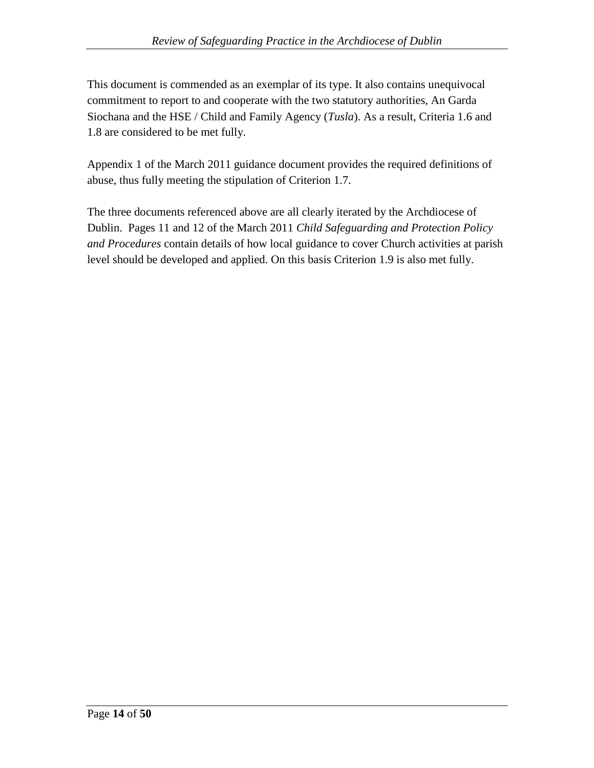This document is commended as an exemplar of its type. It also contains unequivocal commitment to report to and cooperate with the two statutory authorities, An Garda Siochana and the HSE / Child and Family Agency (*Tusla*). As a result, Criteria 1.6 and 1.8 are considered to be met fully.

Appendix 1 of the March 2011 guidance document provides the required definitions of abuse, thus fully meeting the stipulation of Criterion 1.7.

The three documents referenced above are all clearly iterated by the Archdiocese of Dublin. Pages 11 and 12 of the March 2011 *Child Safeguarding and Protection Policy and Procedures* contain details of how local guidance to cover Church activities at parish level should be developed and applied. On this basis Criterion 1.9 is also met fully.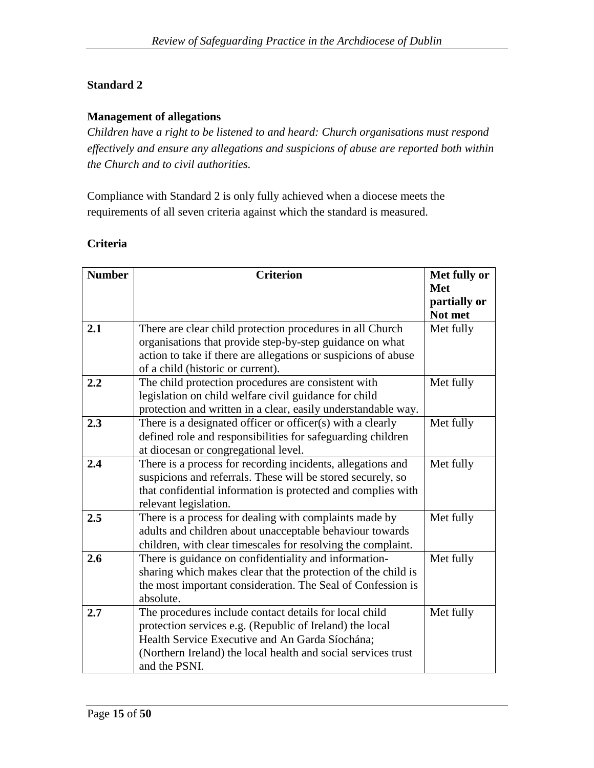#### **Standard 2**

#### **Management of allegations**

*Children have a right to be listened to and heard: Church organisations must respond effectively and ensure any allegations and suspicions of abuse are reported both within the Church and to civil authorities.*

Compliance with Standard 2 is only fully achieved when a diocese meets the requirements of all seven criteria against which the standard is measured.

#### **Criteria**

| <b>Number</b> | <b>Criterion</b>                                               | Met fully or |
|---------------|----------------------------------------------------------------|--------------|
|               |                                                                | <b>Met</b>   |
|               |                                                                | partially or |
|               |                                                                | Not met      |
| 2.1           | There are clear child protection procedures in all Church      | Met fully    |
|               | organisations that provide step-by-step guidance on what       |              |
|               | action to take if there are allegations or suspicions of abuse |              |
|               | of a child (historic or current).                              |              |
| 2.2           | The child protection procedures are consistent with            | Met fully    |
|               | legislation on child welfare civil guidance for child          |              |
|               | protection and written in a clear, easily understandable way.  |              |
| 2.3           | There is a designated officer or officer(s) with a clearly     | Met fully    |
|               | defined role and responsibilities for safeguarding children    |              |
|               | at diocesan or congregational level.                           |              |
| 2.4           | There is a process for recording incidents, allegations and    | Met fully    |
|               | suspicions and referrals. These will be stored securely, so    |              |
|               | that confidential information is protected and complies with   |              |
|               | relevant legislation.                                          |              |
| 2.5           | There is a process for dealing with complaints made by         | Met fully    |
|               | adults and children about unacceptable behaviour towards       |              |
|               | children, with clear timescales for resolving the complaint.   |              |
| 2.6           | There is guidance on confidentiality and information-          | Met fully    |
|               | sharing which makes clear that the protection of the child is  |              |
|               | the most important consideration. The Seal of Confession is    |              |
|               | absolute.                                                      |              |
| 2.7           | The procedures include contact details for local child         | Met fully    |
|               | protection services e.g. (Republic of Ireland) the local       |              |
|               | Health Service Executive and An Garda Síochána;                |              |
|               | (Northern Ireland) the local health and social services trust  |              |
|               | and the PSNI.                                                  |              |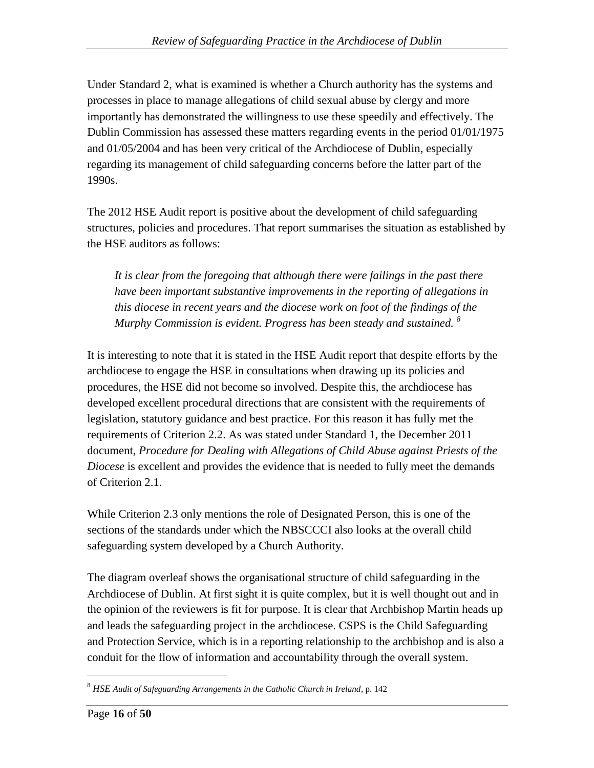Under Standard 2, what is examined is whether a Church authority has the systems and processes in place to manage allegations of child sexual abuse by clergy and more importantly has demonstrated the willingness to use these speedily and effectively. The Dublin Commission has assessed these matters regarding events in the period 01/01/1975 and 01/05/2004 and has been very critical of the Archdiocese of Dublin, especially regarding its management of child safeguarding concerns before the latter part of the 1990s.

The 2012 HSE Audit report is positive about the development of child safeguarding structures, policies and procedures. That report summarises the situation as established by the HSE auditors as follows:

*It is clear from the foregoing that although there were failings in the past there have been important substantive improvements in the reporting of allegations in this diocese in recent years and the diocese work on foot of the findings of the Murphy Commission is evident. Progress has been steady and sustained. <sup>8</sup>*

It is interesting to note that it is stated in the HSE Audit report that despite efforts by the archdiocese to engage the HSE in consultations when drawing up its policies and procedures, the HSE did not become so involved. Despite this, the archdiocese has developed excellent procedural directions that are consistent with the requirements of legislation, statutory guidance and best practice. For this reason it has fully met the requirements of Criterion 2.2. As was stated under Standard 1, the December 2011 document, *Procedure for Dealing with Allegations of Child Abuse against Priests of the Diocese* is excellent and provides the evidence that is needed to fully meet the demands of Criterion 2.1.

While Criterion 2.3 only mentions the role of Designated Person, this is one of the sections of the standards under which the NBSCCCI also looks at the overall child safeguarding system developed by a Church Authority.

The diagram overleaf shows the organisational structure of child safeguarding in the Archdiocese of Dublin. At first sight it is quite complex, but it is well thought out and in the opinion of the reviewers is fit for purpose. It is clear that Archbishop Martin heads up and leads the safeguarding project in the archdiocese. CSPS is the Child Safeguarding and Protection Service, which is in a reporting relationship to the archbishop and is also a conduit for the flow of information and accountability through the overall system.

<sup>8</sup> *HSE Audit of Safeguarding Arrangements in the Catholic Church in Ireland*, p. 142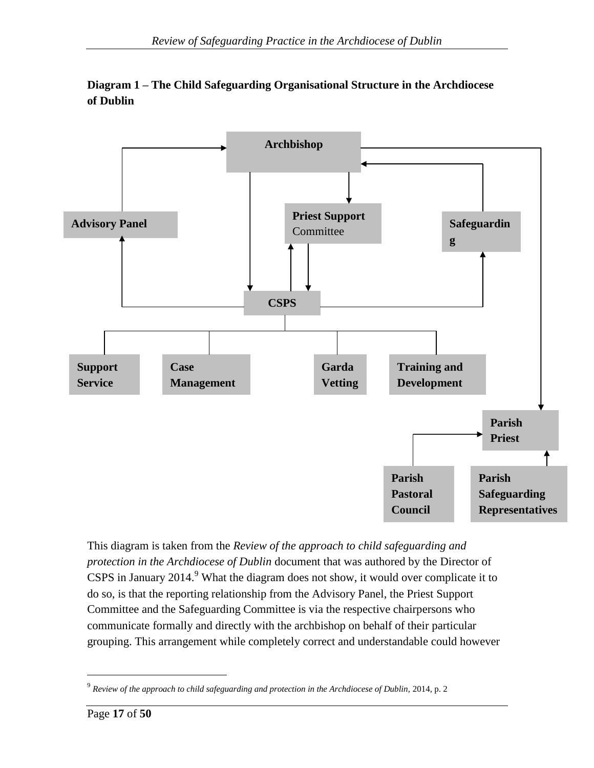

## **Diagram 1 – The Child Safeguarding Organisational Structure in the Archdiocese of Dublin**

This diagram is taken from the *Review of the approach to child safeguarding and protection in the Archdiocese of Dublin* document that was authored by the Director of CSPS in January 2014.<sup>9</sup> What the diagram does not show, it would over complicate it to do so, is that the reporting relationship from the Advisory Panel, the Priest Support Committee and the Safeguarding Committee is via the respective chairpersons who communicate formally and directly with the archbishop on behalf of their particular grouping. This arrangement while completely correct and understandable could however

<sup>&</sup>lt;sup>9</sup> Review of the approach to child safeguarding and protection in the Archdiocese of Dublin, 2014, p. 2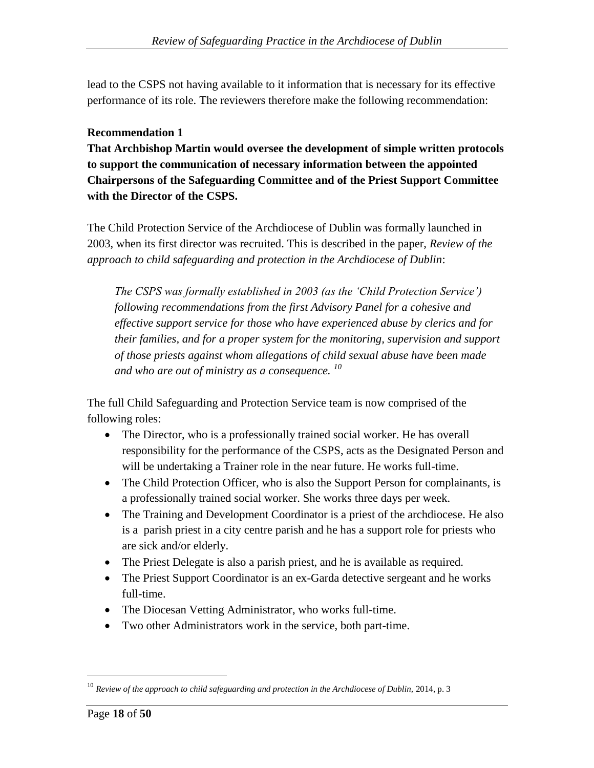lead to the CSPS not having available to it information that is necessary for its effective performance of its role. The reviewers therefore make the following recommendation:

## **Recommendation 1**

**That Archbishop Martin would oversee the development of simple written protocols to support the communication of necessary information between the appointed Chairpersons of the Safeguarding Committee and of the Priest Support Committee with the Director of the CSPS.**

The Child Protection Service of the Archdiocese of Dublin was formally launched in 2003, when its first director was recruited. This is described in the paper, *Review of the approach to child safeguarding and protection in the Archdiocese of Dublin*:

*The CSPS was formally established in 2003 (as the 'Child Protection Service') following recommendations from the first Advisory Panel for a cohesive and effective support service for those who have experienced abuse by clerics and for their families, and for a proper system for the monitoring, supervision and support of those priests against whom allegations of child sexual abuse have been made and who are out of ministry as a consequence. <sup>10</sup>*

The full Child Safeguarding and Protection Service team is now comprised of the following roles:

- The Director, who is a professionally trained social worker. He has overall responsibility for the performance of the CSPS, acts as the Designated Person and will be undertaking a Trainer role in the near future. He works full-time.
- The Child Protection Officer, who is also the Support Person for complainants, is a professionally trained social worker. She works three days per week.
- The Training and Development Coordinator is a priest of the archdiocese. He also is a parish priest in a city centre parish and he has a support role for priests who are sick and/or elderly.
- The Priest Delegate is also a parish priest, and he is available as required.
- The Priest Support Coordinator is an ex-Garda detective sergeant and he works full-time.
- The Diocesan Vetting Administrator, who works full-time.
- Two other Administrators work in the service, both part-time.

<sup>&</sup>lt;sup>10</sup> Review of the approach to child safeguarding and protection in the Archdiocese of Dublin, 2014, p. 3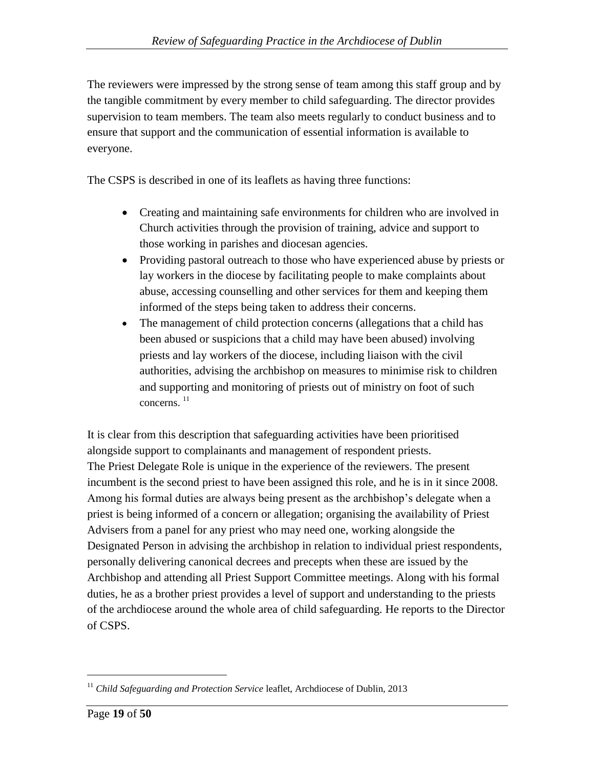The reviewers were impressed by the strong sense of team among this staff group and by the tangible commitment by every member to child safeguarding. The director provides supervision to team members. The team also meets regularly to conduct business and to ensure that support and the communication of essential information is available to everyone.

The CSPS is described in one of its leaflets as having three functions:

- Creating and maintaining safe environments for children who are involved in Church activities through the provision of training, advice and support to those working in parishes and diocesan agencies.
- Providing pastoral outreach to those who have experienced abuse by priests or lay workers in the diocese by facilitating people to make complaints about abuse, accessing counselling and other services for them and keeping them informed of the steps being taken to address their concerns.
- The management of child protection concerns (allegations that a child has been abused or suspicions that a child may have been abused) involving priests and lay workers of the diocese, including liaison with the civil authorities, advising the archbishop on measures to minimise risk to children and supporting and monitoring of priests out of ministry on foot of such concerns. <sup>11</sup>

It is clear from this description that safeguarding activities have been prioritised alongside support to complainants and management of respondent priests. The Priest Delegate Role is unique in the experience of the reviewers. The present incumbent is the second priest to have been assigned this role, and he is in it since 2008. Among his formal duties are always being present as the archbishop"s delegate when a priest is being informed of a concern or allegation; organising the availability of Priest Advisers from a panel for any priest who may need one, working alongside the Designated Person in advising the archbishop in relation to individual priest respondents, personally delivering canonical decrees and precepts when these are issued by the Archbishop and attending all Priest Support Committee meetings. Along with his formal duties, he as a brother priest provides a level of support and understanding to the priests of the archdiocese around the whole area of child safeguarding. He reports to the Director of CSPS.

<sup>&</sup>lt;sup>11</sup> Child Safeguarding and Protection Service leaflet, Archdiocese of Dublin, 2013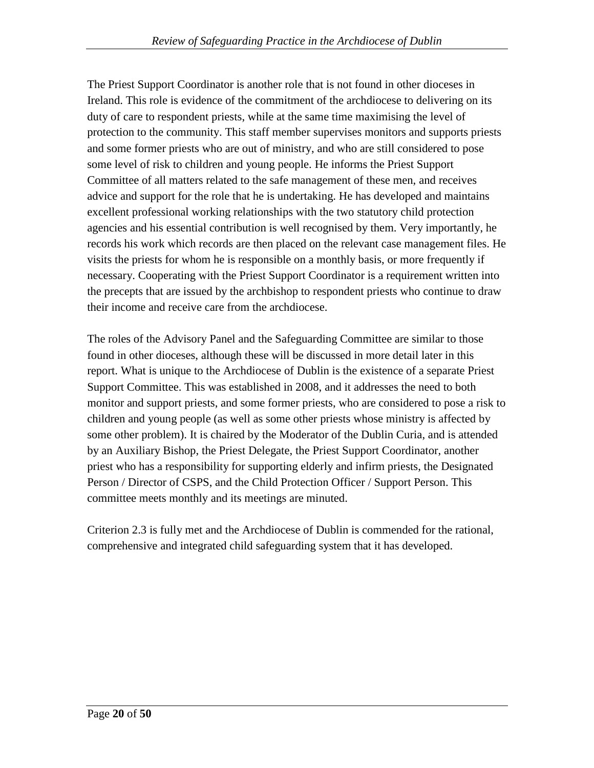The Priest Support Coordinator is another role that is not found in other dioceses in Ireland. This role is evidence of the commitment of the archdiocese to delivering on its duty of care to respondent priests, while at the same time maximising the level of protection to the community. This staff member supervises monitors and supports priests and some former priests who are out of ministry, and who are still considered to pose some level of risk to children and young people. He informs the Priest Support Committee of all matters related to the safe management of these men, and receives advice and support for the role that he is undertaking. He has developed and maintains excellent professional working relationships with the two statutory child protection agencies and his essential contribution is well recognised by them. Very importantly, he records his work which records are then placed on the relevant case management files. He visits the priests for whom he is responsible on a monthly basis, or more frequently if necessary. Cooperating with the Priest Support Coordinator is a requirement written into the precepts that are issued by the archbishop to respondent priests who continue to draw their income and receive care from the archdiocese.

The roles of the Advisory Panel and the Safeguarding Committee are similar to those found in other dioceses, although these will be discussed in more detail later in this report. What is unique to the Archdiocese of Dublin is the existence of a separate Priest Support Committee. This was established in 2008, and it addresses the need to both monitor and support priests, and some former priests, who are considered to pose a risk to children and young people (as well as some other priests whose ministry is affected by some other problem). It is chaired by the Moderator of the Dublin Curia, and is attended by an Auxiliary Bishop, the Priest Delegate, the Priest Support Coordinator, another priest who has a responsibility for supporting elderly and infirm priests, the Designated Person / Director of CSPS, and the Child Protection Officer / Support Person. This committee meets monthly and its meetings are minuted.

Criterion 2.3 is fully met and the Archdiocese of Dublin is commended for the rational, comprehensive and integrated child safeguarding system that it has developed.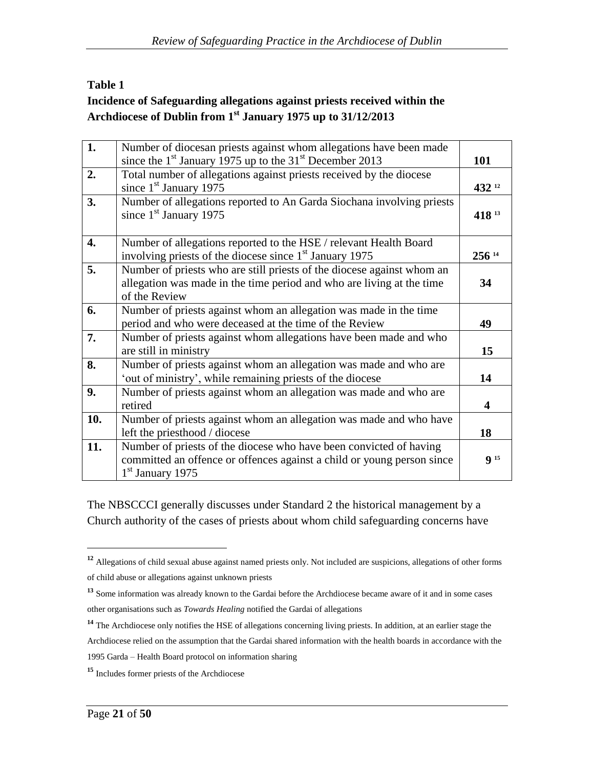## **Table 1 Incidence of Safeguarding allegations against priests received within the Archdiocese of Dublin from 1st January 1975 up to 31/12/2013**

| 1.  | Number of diocesan priests against whom allegations have been made<br>since the $1st$ January 1975 up to the 31 <sup>st</sup> December 2013                        | 101              |
|-----|--------------------------------------------------------------------------------------------------------------------------------------------------------------------|------------------|
| 2.  | Total number of allegations against priests received by the diocese<br>since $1st$ January 1975                                                                    | 432 12           |
| 3.  | Number of allegations reported to An Garda Siochana involving priests<br>since 1 <sup>st</sup> January 1975                                                        | 418 13           |
| 4.  | Number of allegations reported to the HSE / relevant Health Board<br>involving priests of the diocese since 1 <sup>st</sup> January 1975                           | 256 14           |
| 5.  | Number of priests who are still priests of the diocese against whom an<br>allegation was made in the time period and who are living at the time<br>of the Review   | 34               |
| 6.  | Number of priests against whom an allegation was made in the time<br>period and who were deceased at the time of the Review                                        | 49               |
| 7.  | Number of priests against whom allegations have been made and who<br>are still in ministry                                                                         | 15               |
| 8.  | Number of priests against whom an allegation was made and who are<br>'out of ministry', while remaining priests of the diocese                                     | 14               |
| 9.  | Number of priests against whom an allegation was made and who are<br>retired                                                                                       | $\boldsymbol{4}$ |
| 10. | Number of priests against whom an allegation was made and who have<br>left the priesthood / diocese                                                                | 18               |
| 11. | Number of priests of the diocese who have been convicted of having<br>committed an offence or offences against a child or young person since<br>$1st$ January 1975 | 9 <sup>15</sup>  |

The NBSCCCI generally discusses under Standard 2 the historical management by a Church authority of the cases of priests about whom child safeguarding concerns have

<sup>&</sup>lt;sup>12</sup> Allegations of child sexual abuse against named priests only. Not included are suspicions, allegations of other forms of child abuse or allegations against unknown priests

<sup>&</sup>lt;sup>13</sup> Some information was already known to the Gardai before the Archdiocese became aware of it and in some cases other organisations such as *Towards Healing* notified the Gardai of allegations

**<sup>14</sup>** The Archdiocese only notifies the HSE of allegations concerning living priests. In addition, at an earlier stage the Archdiocese relied on the assumption that the Gardai shared information with the health boards in accordance with the 1995 Garda – Health Board protocol on information sharing

**<sup>15</sup>** Includes former priests of the Archdiocese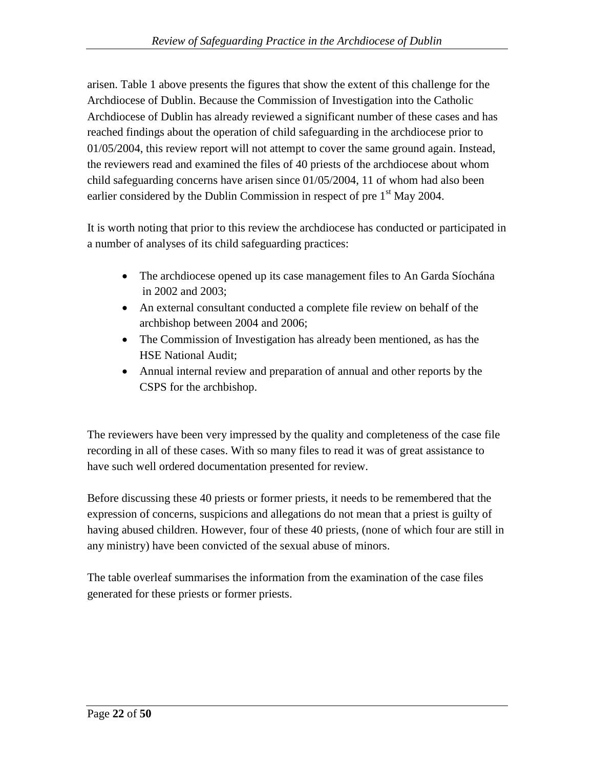arisen. Table 1 above presents the figures that show the extent of this challenge for the Archdiocese of Dublin. Because the Commission of Investigation into the Catholic Archdiocese of Dublin has already reviewed a significant number of these cases and has reached findings about the operation of child safeguarding in the archdiocese prior to 01/05/2004, this review report will not attempt to cover the same ground again. Instead, the reviewers read and examined the files of 40 priests of the archdiocese about whom child safeguarding concerns have arisen since 01/05/2004, 11 of whom had also been earlier considered by the Dublin Commission in respect of pre 1<sup>st</sup> May 2004.

It is worth noting that prior to this review the archdiocese has conducted or participated in a number of analyses of its child safeguarding practices:

- The archdiocese opened up its case management files to An Garda Síochána in 2002 and 2003;
- An external consultant conducted a complete file review on behalf of the archbishop between 2004 and 2006;
- The Commission of Investigation has already been mentioned, as has the HSE National Audit;
- Annual internal review and preparation of annual and other reports by the CSPS for the archbishop.

The reviewers have been very impressed by the quality and completeness of the case file recording in all of these cases. With so many files to read it was of great assistance to have such well ordered documentation presented for review.

Before discussing these 40 priests or former priests, it needs to be remembered that the expression of concerns, suspicions and allegations do not mean that a priest is guilty of having abused children. However, four of these 40 priests, (none of which four are still in any ministry) have been convicted of the sexual abuse of minors.

The table overleaf summarises the information from the examination of the case files generated for these priests or former priests.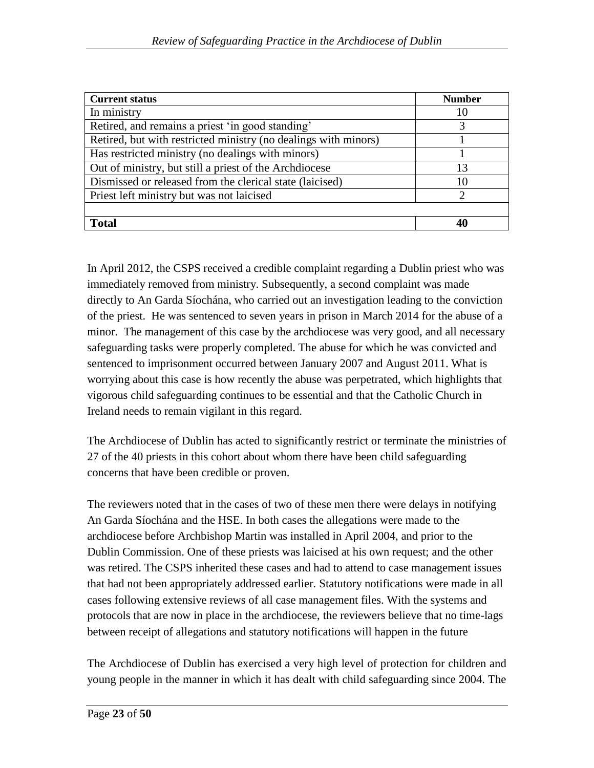| <b>Current status</b>                                           | <b>Number</b> |
|-----------------------------------------------------------------|---------------|
| In ministry                                                     | 10            |
| Retired, and remains a priest 'in good standing'                | 3             |
| Retired, but with restricted ministry (no dealings with minors) |               |
| Has restricted ministry (no dealings with minors)               |               |
| Out of ministry, but still a priest of the Archdiocese          | 13            |
| Dismissed or released from the clerical state (laicised)        | 10            |
| Priest left ministry but was not laicised                       | $\mathcal{D}$ |
|                                                                 |               |
| Total                                                           | 40            |

In April 2012, the CSPS received a credible complaint regarding a Dublin priest who was immediately removed from ministry. Subsequently, a second complaint was made directly to An Garda Síochána, who carried out an investigation leading to the conviction of the priest. He was sentenced to seven years in prison in March 2014 for the abuse of a minor. The management of this case by the archdiocese was very good, and all necessary safeguarding tasks were properly completed. The abuse for which he was convicted and sentenced to imprisonment occurred between January 2007 and August 2011. What is worrying about this case is how recently the abuse was perpetrated, which highlights that vigorous child safeguarding continues to be essential and that the Catholic Church in Ireland needs to remain vigilant in this regard.

The Archdiocese of Dublin has acted to significantly restrict or terminate the ministries of 27 of the 40 priests in this cohort about whom there have been child safeguarding concerns that have been credible or proven.

The reviewers noted that in the cases of two of these men there were delays in notifying An Garda Síochána and the HSE. In both cases the allegations were made to the archdiocese before Archbishop Martin was installed in April 2004, and prior to the Dublin Commission. One of these priests was laicised at his own request; and the other was retired. The CSPS inherited these cases and had to attend to case management issues that had not been appropriately addressed earlier. Statutory notifications were made in all cases following extensive reviews of all case management files. With the systems and protocols that are now in place in the archdiocese, the reviewers believe that no time-lags between receipt of allegations and statutory notifications will happen in the future

The Archdiocese of Dublin has exercised a very high level of protection for children and young people in the manner in which it has dealt with child safeguarding since 2004. The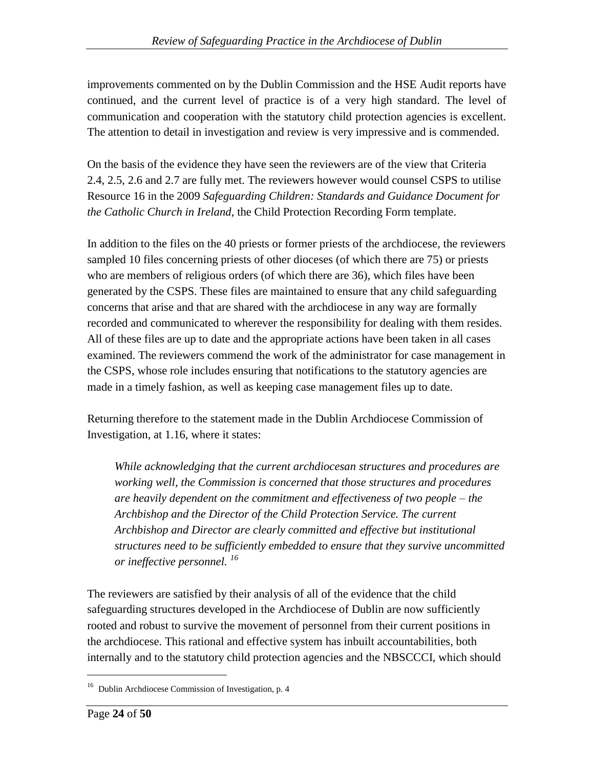improvements commented on by the Dublin Commission and the HSE Audit reports have continued, and the current level of practice is of a very high standard. The level of communication and cooperation with the statutory child protection agencies is excellent. The attention to detail in investigation and review is very impressive and is commended.

On the basis of the evidence they have seen the reviewers are of the view that Criteria 2.4, 2.5, 2.6 and 2.7 are fully met. The reviewers however would counsel CSPS to utilise Resource 16 in the 2009 *Safeguarding Children: Standards and Guidance Document for the Catholic Church in Ireland*, the Child Protection Recording Form template.

In addition to the files on the 40 priests or former priests of the archdiocese, the reviewers sampled 10 files concerning priests of other dioceses (of which there are 75) or priests who are members of religious orders (of which there are 36), which files have been generated by the CSPS. These files are maintained to ensure that any child safeguarding concerns that arise and that are shared with the archdiocese in any way are formally recorded and communicated to wherever the responsibility for dealing with them resides. All of these files are up to date and the appropriate actions have been taken in all cases examined. The reviewers commend the work of the administrator for case management in the CSPS, whose role includes ensuring that notifications to the statutory agencies are made in a timely fashion, as well as keeping case management files up to date.

Returning therefore to the statement made in the Dublin Archdiocese Commission of Investigation, at 1.16, where it states:

*While acknowledging that the current archdiocesan structures and procedures are working well, the Commission is concerned that those structures and procedures are heavily dependent on the commitment and effectiveness of two people – the Archbishop and the Director of the Child Protection Service. The current Archbishop and Director are clearly committed and effective but institutional structures need to be sufficiently embedded to ensure that they survive uncommitted or ineffective personnel. <sup>16</sup>*

The reviewers are satisfied by their analysis of all of the evidence that the child safeguarding structures developed in the Archdiocese of Dublin are now sufficiently rooted and robust to survive the movement of personnel from their current positions in the archdiocese. This rational and effective system has inbuilt accountabilities, both internally and to the statutory child protection agencies and the NBSCCCI, which should

<sup>&</sup>lt;sup>16</sup> Dublin Archdiocese Commission of Investigation, p. 4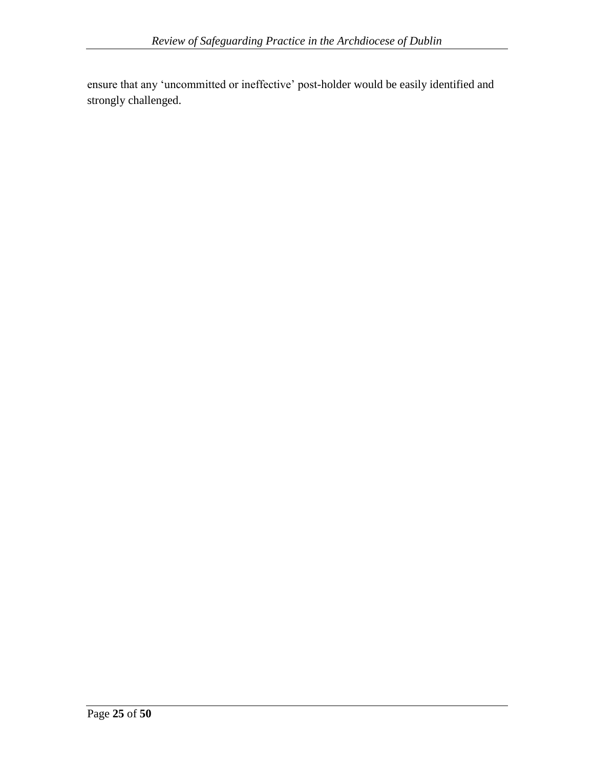ensure that any "uncommitted or ineffective" post-holder would be easily identified and strongly challenged.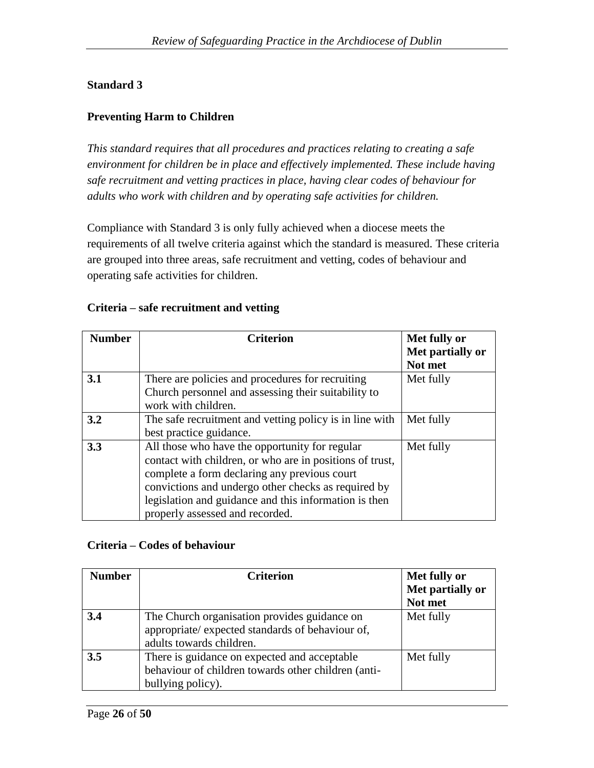## **Standard 3**

#### **Preventing Harm to Children**

*This standard requires that all procedures and practices relating to creating a safe environment for children be in place and effectively implemented. These include having safe recruitment and vetting practices in place, having clear codes of behaviour for adults who work with children and by operating safe activities for children.*

Compliance with Standard 3 is only fully achieved when a diocese meets the requirements of all twelve criteria against which the standard is measured. These criteria are grouped into three areas, safe recruitment and vetting, codes of behaviour and operating safe activities for children.

|  |  | Criteria – safe recruitment and vetting |  |  |
|--|--|-----------------------------------------|--|--|
|--|--|-----------------------------------------|--|--|

| <b>Number</b> | <b>Criterion</b>                                                                                                                                                                                                                                                                                              | Met fully or                |
|---------------|---------------------------------------------------------------------------------------------------------------------------------------------------------------------------------------------------------------------------------------------------------------------------------------------------------------|-----------------------------|
|               |                                                                                                                                                                                                                                                                                                               | Met partially or<br>Not met |
| 3.1           | There are policies and procedures for recruiting<br>Church personnel and assessing their suitability to<br>work with children.                                                                                                                                                                                | Met fully                   |
| 3.2           | The safe recruitment and vetting policy is in line with<br>best practice guidance.                                                                                                                                                                                                                            | Met fully                   |
| 3.3           | All those who have the opportunity for regular<br>contact with children, or who are in positions of trust,<br>complete a form declaring any previous court<br>convictions and undergo other checks as required by<br>legislation and guidance and this information is then<br>properly assessed and recorded. | Met fully                   |

#### **Criteria – Codes of behaviour**

| <b>Number</b> | <b>Criterion</b>                                                                                                             | Met fully or     |
|---------------|------------------------------------------------------------------------------------------------------------------------------|------------------|
|               |                                                                                                                              | Met partially or |
|               |                                                                                                                              | Not met          |
| 3.4           | The Church organisation provides guidance on<br>appropriate/ expected standards of behaviour of,<br>adults towards children. | Met fully        |
| 3.5           | There is guidance on expected and acceptable<br>behaviour of children towards other children (anti-<br>bullying policy).     | Met fully        |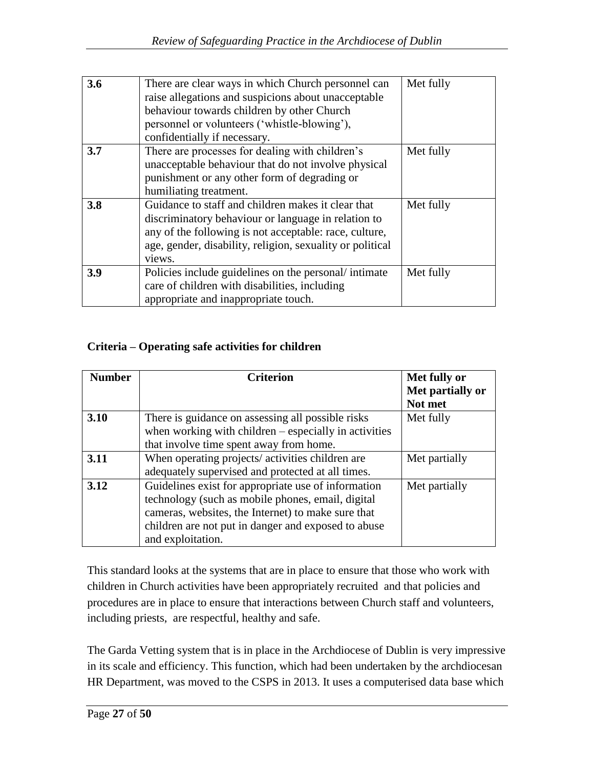| 3.6 |                                                           |           |
|-----|-----------------------------------------------------------|-----------|
|     | There are clear ways in which Church personnel can        | Met fully |
|     | raise allegations and suspicions about unacceptable       |           |
|     | behaviour towards children by other Church                |           |
|     | personnel or volunteers ('whistle-blowing'),              |           |
|     | confidentially if necessary.                              |           |
| 3.7 | There are processes for dealing with children's           | Met fully |
|     | unacceptable behaviour that do not involve physical       |           |
|     | punishment or any other form of degrading or              |           |
|     | humiliating treatment.                                    |           |
| 3.8 | Guidance to staff and children makes it clear that        | Met fully |
|     | discriminatory behaviour or language in relation to       |           |
|     | any of the following is not acceptable: race, culture,    |           |
|     | age, gender, disability, religion, sexuality or political |           |
|     | views.                                                    |           |
| 3.9 | Policies include guidelines on the personal intimate      | Met fully |
|     | care of children with disabilities, including             |           |
|     | appropriate and inappropriate touch.                      |           |

## **Criteria – Operating safe activities for children**

| <b>Number</b> | <b>Criterion</b>                                        | Met fully or     |
|---------------|---------------------------------------------------------|------------------|
|               |                                                         | Met partially or |
|               |                                                         | Not met          |
| 3.10          | There is guidance on assessing all possible risks       | Met fully        |
|               | when working with children $-$ especially in activities |                  |
|               | that involve time spent away from home.                 |                  |
| 3.11          | When operating projects/activities children are         | Met partially    |
|               | adequately supervised and protected at all times.       |                  |
| 3.12          | Guidelines exist for appropriate use of information     | Met partially    |
|               | technology (such as mobile phones, email, digital       |                  |
|               | cameras, websites, the Internet) to make sure that      |                  |
|               | children are not put in danger and exposed to abuse     |                  |
|               | and exploitation.                                       |                  |

This standard looks at the systems that are in place to ensure that those who work with children in Church activities have been appropriately recruited and that policies and procedures are in place to ensure that interactions between Church staff and volunteers, including priests, are respectful, healthy and safe.

The Garda Vetting system that is in place in the Archdiocese of Dublin is very impressive in its scale and efficiency. This function, which had been undertaken by the archdiocesan HR Department, was moved to the CSPS in 2013. It uses a computerised data base which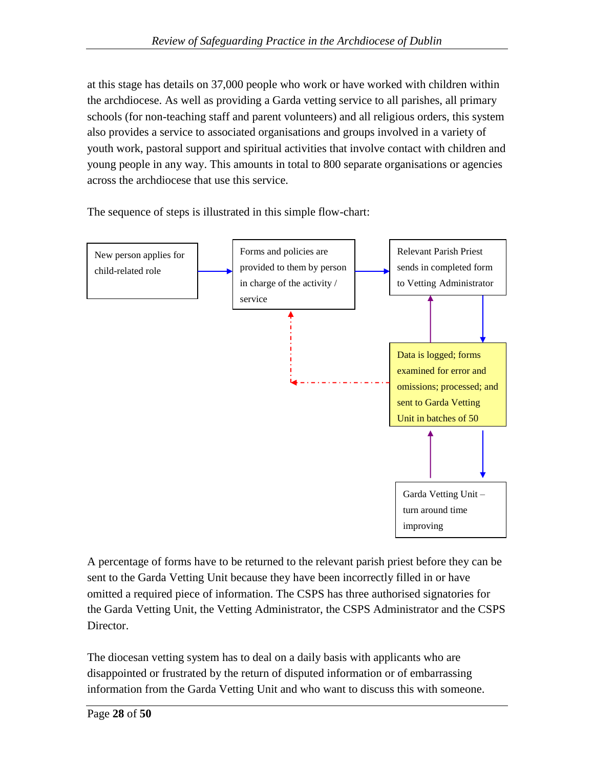at this stage has details on 37,000 people who work or have worked with children within the archdiocese. As well as providing a Garda vetting service to all parishes, all primary schools (for non-teaching staff and parent volunteers) and all religious orders, this system also provides a service to associated organisations and groups involved in a variety of youth work, pastoral support and spiritual activities that involve contact with children and young people in any way. This amounts in total to 800 separate organisations or agencies across the archdiocese that use this service.

The sequence of steps is illustrated in this simple flow-chart:



A percentage of forms have to be returned to the relevant parish priest before they can be sent to the Garda Vetting Unit because they have been incorrectly filled in or have omitted a required piece of information. The CSPS has three authorised signatories for the Garda Vetting Unit, the Vetting Administrator, the CSPS Administrator and the CSPS Director.

The diocesan vetting system has to deal on a daily basis with applicants who are disappointed or frustrated by the return of disputed information or of embarrassing information from the Garda Vetting Unit and who want to discuss this with someone.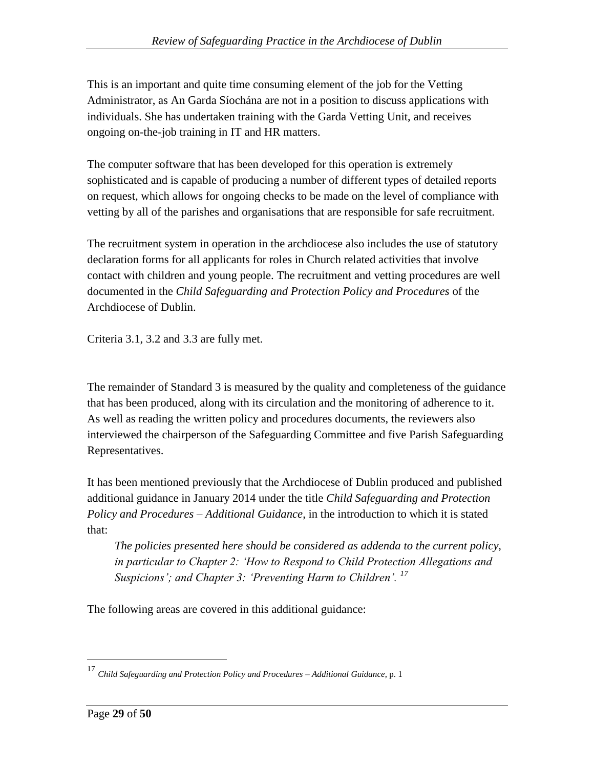This is an important and quite time consuming element of the job for the Vetting Administrator, as An Garda Síochána are not in a position to discuss applications with individuals. She has undertaken training with the Garda Vetting Unit, and receives ongoing on-the-job training in IT and HR matters.

The computer software that has been developed for this operation is extremely sophisticated and is capable of producing a number of different types of detailed reports on request, which allows for ongoing checks to be made on the level of compliance with vetting by all of the parishes and organisations that are responsible for safe recruitment.

The recruitment system in operation in the archdiocese also includes the use of statutory declaration forms for all applicants for roles in Church related activities that involve contact with children and young people. The recruitment and vetting procedures are well documented in the *Child Safeguarding and Protection Policy and Procedures* of the Archdiocese of Dublin.

Criteria 3.1, 3.2 and 3.3 are fully met.

The remainder of Standard 3 is measured by the quality and completeness of the guidance that has been produced, along with its circulation and the monitoring of adherence to it. As well as reading the written policy and procedures documents, the reviewers also interviewed the chairperson of the Safeguarding Committee and five Parish Safeguarding Representatives.

It has been mentioned previously that the Archdiocese of Dublin produced and published additional guidance in January 2014 under the title *Child Safeguarding and Protection Policy and Procedures – Additional Guidance*, in the introduction to which it is stated that:

*The policies presented here should be considered as addenda to the current policy, in particular to Chapter 2: 'How to Respond to Child Protection Allegations and Suspicions'; and Chapter 3: 'Preventing Harm to Children'.* <sup>17</sup>

The following areas are covered in this additional guidance:

<sup>17</sup> *Child Safeguarding and Protection Policy and Procedures – Additional Guidance*, p. 1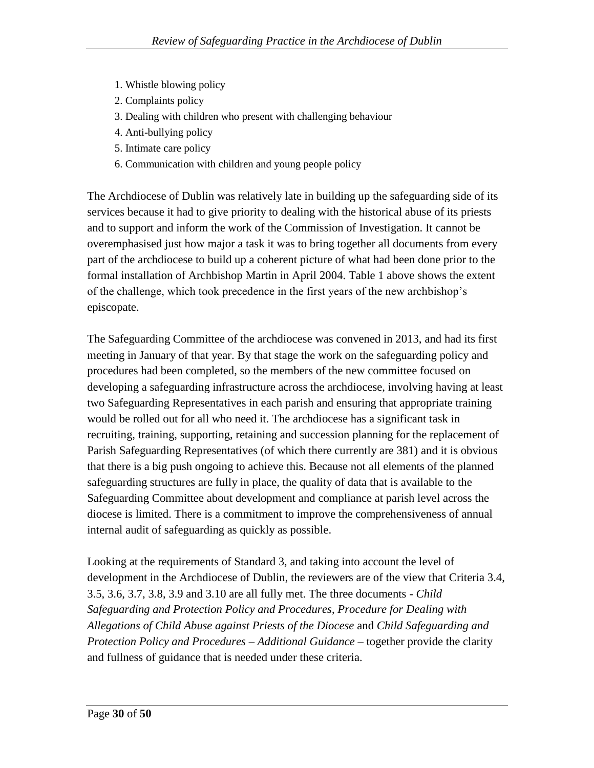- 1. Whistle blowing policy
- 2. Complaints policy
- 3. Dealing with children who present with challenging behaviour
- 4. Anti-bullying policy
- 5. Intimate care policy
- 6. Communication with children and young people policy

The Archdiocese of Dublin was relatively late in building up the safeguarding side of its services because it had to give priority to dealing with the historical abuse of its priests and to support and inform the work of the Commission of Investigation. It cannot be overemphasised just how major a task it was to bring together all documents from every part of the archdiocese to build up a coherent picture of what had been done prior to the formal installation of Archbishop Martin in April 2004. Table 1 above shows the extent of the challenge, which took precedence in the first years of the new archbishop"s episcopate.

The Safeguarding Committee of the archdiocese was convened in 2013, and had its first meeting in January of that year. By that stage the work on the safeguarding policy and procedures had been completed, so the members of the new committee focused on developing a safeguarding infrastructure across the archdiocese, involving having at least two Safeguarding Representatives in each parish and ensuring that appropriate training would be rolled out for all who need it. The archdiocese has a significant task in recruiting, training, supporting, retaining and succession planning for the replacement of Parish Safeguarding Representatives (of which there currently are 381) and it is obvious that there is a big push ongoing to achieve this. Because not all elements of the planned safeguarding structures are fully in place, the quality of data that is available to the Safeguarding Committee about development and compliance at parish level across the diocese is limited. There is a commitment to improve the comprehensiveness of annual internal audit of safeguarding as quickly as possible.

Looking at the requirements of Standard 3, and taking into account the level of development in the Archdiocese of Dublin, the reviewers are of the view that Criteria 3.4, 3.5, 3.6, 3.7, 3.8, 3.9 and 3.10 are all fully met. The three documents - *Child Safeguarding and Protection Policy and Procedures*, *Procedure for Dealing with Allegations of Child Abuse against Priests of the Diocese* and *Child Safeguarding and Protection Policy and Procedures – Additional Guidance* – together provide the clarity and fullness of guidance that is needed under these criteria.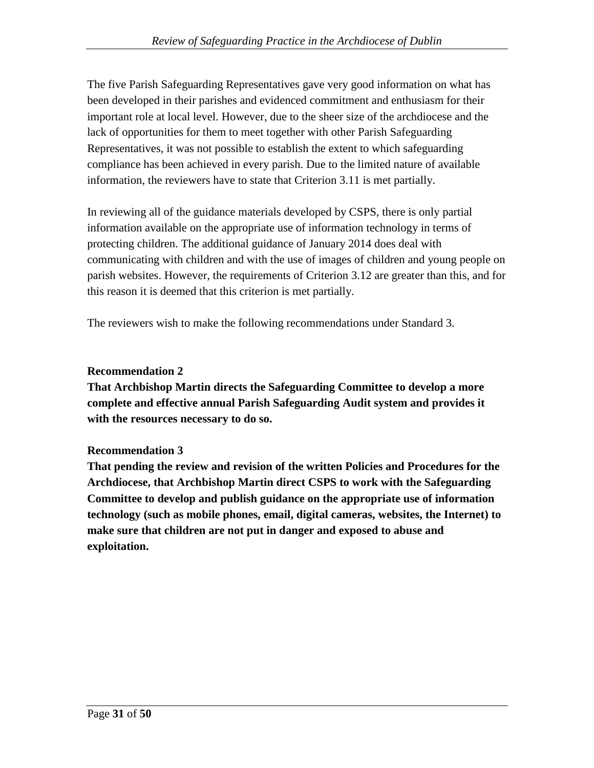The five Parish Safeguarding Representatives gave very good information on what has been developed in their parishes and evidenced commitment and enthusiasm for their important role at local level. However, due to the sheer size of the archdiocese and the lack of opportunities for them to meet together with other Parish Safeguarding Representatives, it was not possible to establish the extent to which safeguarding compliance has been achieved in every parish. Due to the limited nature of available information, the reviewers have to state that Criterion 3.11 is met partially.

In reviewing all of the guidance materials developed by CSPS, there is only partial information available on the appropriate use of information technology in terms of protecting children. The additional guidance of January 2014 does deal with communicating with children and with the use of images of children and young people on parish websites. However, the requirements of Criterion 3.12 are greater than this, and for this reason it is deemed that this criterion is met partially.

The reviewers wish to make the following recommendations under Standard 3.

## **Recommendation 2**

**That Archbishop Martin directs the Safeguarding Committee to develop a more complete and effective annual Parish Safeguarding Audit system and provides it with the resources necessary to do so.** 

## **Recommendation 3**

**That pending the review and revision of the written Policies and Procedures for the Archdiocese, that Archbishop Martin direct CSPS to work with the Safeguarding Committee to develop and publish guidance on the appropriate use of information technology (such as mobile phones, email, digital cameras, websites, the Internet) to make sure that children are not put in danger and exposed to abuse and exploitation.**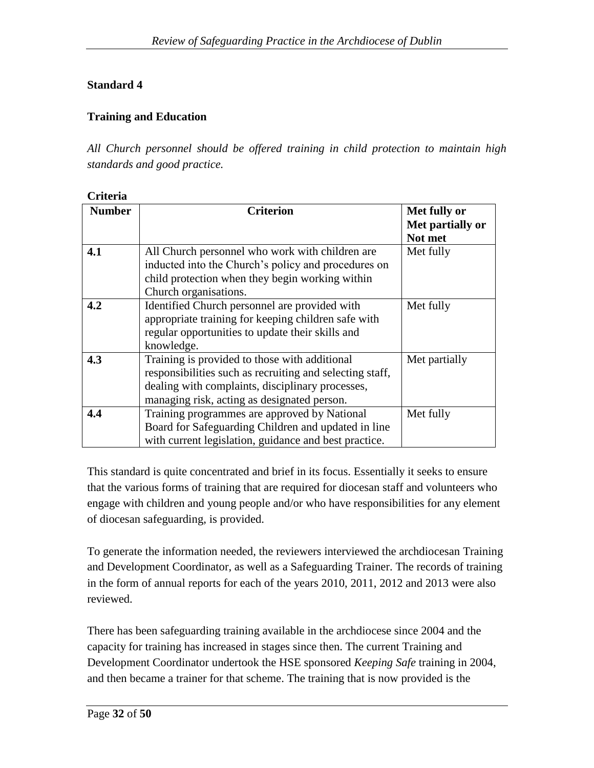## **Standard 4**

## **Training and Education**

*All Church personnel should be offered training in child protection to maintain high standards and good practice.*

| Criteria |  |
|----------|--|
|          |  |

| <b>Number</b> | <b>Criterion</b>                                         | Met fully or     |
|---------------|----------------------------------------------------------|------------------|
|               |                                                          | Met partially or |
|               |                                                          | Not met          |
| 4.1           | All Church personnel who work with children are          | Met fully        |
|               | inducted into the Church's policy and procedures on      |                  |
|               | child protection when they begin working within          |                  |
|               | Church organisations.                                    |                  |
| 4.2           | Identified Church personnel are provided with            | Met fully        |
|               | appropriate training for keeping children safe with      |                  |
|               | regular opportunities to update their skills and         |                  |
|               | knowledge.                                               |                  |
| 4.3           | Training is provided to those with additional            | Met partially    |
|               | responsibilities such as recruiting and selecting staff, |                  |
|               | dealing with complaints, disciplinary processes,         |                  |
|               | managing risk, acting as designated person.              |                  |
| 4.4           | Training programmes are approved by National             | Met fully        |
|               | Board for Safeguarding Children and updated in line      |                  |
|               | with current legislation, guidance and best practice.    |                  |

This standard is quite concentrated and brief in its focus. Essentially it seeks to ensure that the various forms of training that are required for diocesan staff and volunteers who engage with children and young people and/or who have responsibilities for any element of diocesan safeguarding, is provided.

To generate the information needed, the reviewers interviewed the archdiocesan Training and Development Coordinator, as well as a Safeguarding Trainer. The records of training in the form of annual reports for each of the years 2010, 2011, 2012 and 2013 were also reviewed.

There has been safeguarding training available in the archdiocese since 2004 and the capacity for training has increased in stages since then. The current Training and Development Coordinator undertook the HSE sponsored *Keeping Safe* training in 2004, and then became a trainer for that scheme. The training that is now provided is the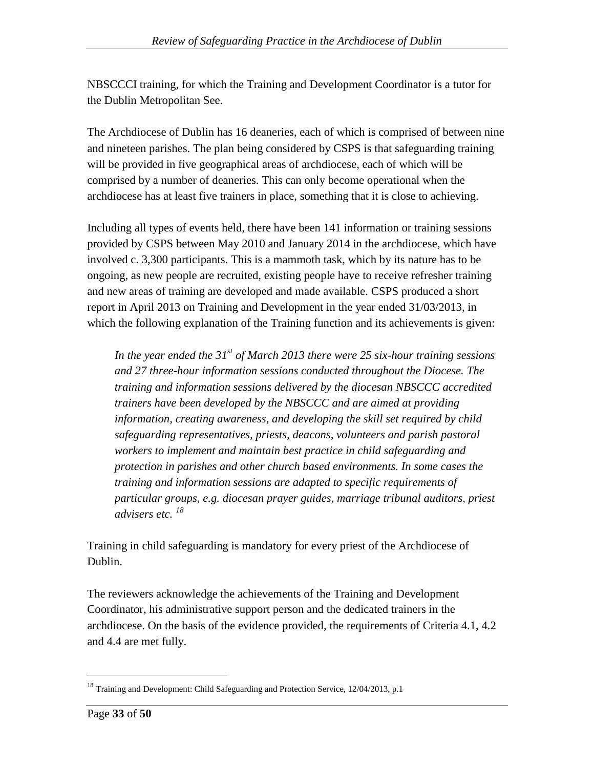NBSCCCI training, for which the Training and Development Coordinator is a tutor for the Dublin Metropolitan See.

The Archdiocese of Dublin has 16 deaneries, each of which is comprised of between nine and nineteen parishes. The plan being considered by CSPS is that safeguarding training will be provided in five geographical areas of archdiocese, each of which will be comprised by a number of deaneries. This can only become operational when the archdiocese has at least five trainers in place, something that it is close to achieving.

Including all types of events held, there have been 141 information or training sessions provided by CSPS between May 2010 and January 2014 in the archdiocese, which have involved c. 3,300 participants. This is a mammoth task, which by its nature has to be ongoing, as new people are recruited, existing people have to receive refresher training and new areas of training are developed and made available. CSPS produced a short report in April 2013 on Training and Development in the year ended 31/03/2013, in which the following explanation of the Training function and its achievements is given:

*In the year ended the 31st of March 2013 there were 25 six-hour training sessions and 27 three-hour information sessions conducted throughout the Diocese. The training and information sessions delivered by the diocesan NBSCCC accredited trainers have been developed by the NBSCCC and are aimed at providing information, creating awareness, and developing the skill set required by child safeguarding representatives, priests, deacons, volunteers and parish pastoral workers to implement and maintain best practice in child safeguarding and protection in parishes and other church based environments. In some cases the training and information sessions are adapted to specific requirements of particular groups, e.g. diocesan prayer guides, marriage tribunal auditors, priest advisers etc. <sup>18</sup>*

Training in child safeguarding is mandatory for every priest of the Archdiocese of Dublin.

The reviewers acknowledge the achievements of the Training and Development Coordinator, his administrative support person and the dedicated trainers in the archdiocese. On the basis of the evidence provided, the requirements of Criteria 4.1, 4.2 and 4.4 are met fully.

<sup>&</sup>lt;sup>18</sup> Training and Development: Child Safeguarding and Protection Service, 12/04/2013, p.1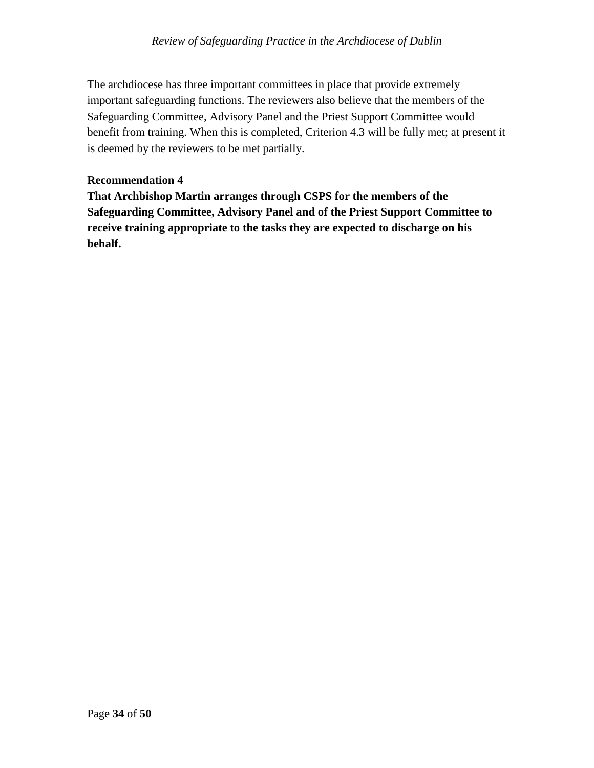The archdiocese has three important committees in place that provide extremely important safeguarding functions. The reviewers also believe that the members of the Safeguarding Committee, Advisory Panel and the Priest Support Committee would benefit from training. When this is completed, Criterion 4.3 will be fully met; at present it is deemed by the reviewers to be met partially.

## **Recommendation 4**

**That Archbishop Martin arranges through CSPS for the members of the Safeguarding Committee, Advisory Panel and of the Priest Support Committee to receive training appropriate to the tasks they are expected to discharge on his behalf.**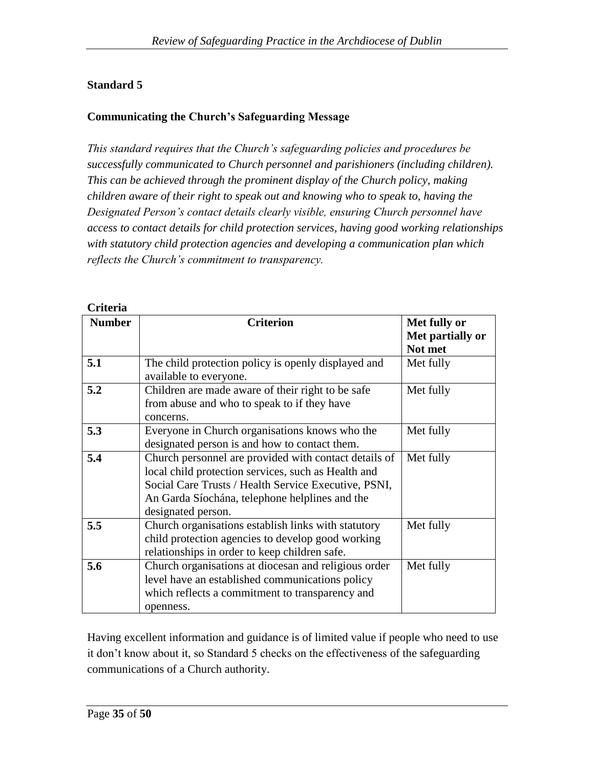## **Standard 5**

## **Communicating the Church's Safeguarding Message**

*This standard requires that the Church's safeguarding policies and procedures be successfully communicated to Church personnel and parishioners (including children). This can be achieved through the prominent display of the Church policy, making children aware of their right to speak out and knowing who to speak to, having the Designated Person's contact details clearly visible, ensuring Church personnel have access to contact details for child protection services, having good working relationships with statutory child protection agencies and developing a communication plan which reflects the Church's commitment to transparency.*

| VIIULIA       |                                                       |                  |
|---------------|-------------------------------------------------------|------------------|
| <b>Number</b> | <b>Criterion</b>                                      | Met fully or     |
|               |                                                       | Met partially or |
|               |                                                       | Not met          |
| 5.1           | The child protection policy is openly displayed and   | Met fully        |
|               | available to everyone.                                |                  |
| 5.2           | Children are made aware of their right to be safe     | Met fully        |
|               | from abuse and who to speak to if they have           |                  |
|               | concerns.                                             |                  |
| 5.3           | Everyone in Church organisations knows who the        | Met fully        |
|               | designated person is and how to contact them.         |                  |
| 5.4           | Church personnel are provided with contact details of | Met fully        |
|               | local child protection services, such as Health and   |                  |
|               | Social Care Trusts / Health Service Executive, PSNI,  |                  |
|               | An Garda Síochána, telephone helplines and the        |                  |
|               | designated person.                                    |                  |
| 5.5           | Church organisations establish links with statutory   | Met fully        |
|               | child protection agencies to develop good working     |                  |
|               | relationships in order to keep children safe.         |                  |
| 5.6           | Church organisations at diocesan and religious order  | Met fully        |
|               | level have an established communications policy       |                  |
|               | which reflects a commitment to transparency and       |                  |
|               | openness.                                             |                  |

#### **Criteria**

Having excellent information and guidance is of limited value if people who need to use it don"t know about it, so Standard 5 checks on the effectiveness of the safeguarding communications of a Church authority.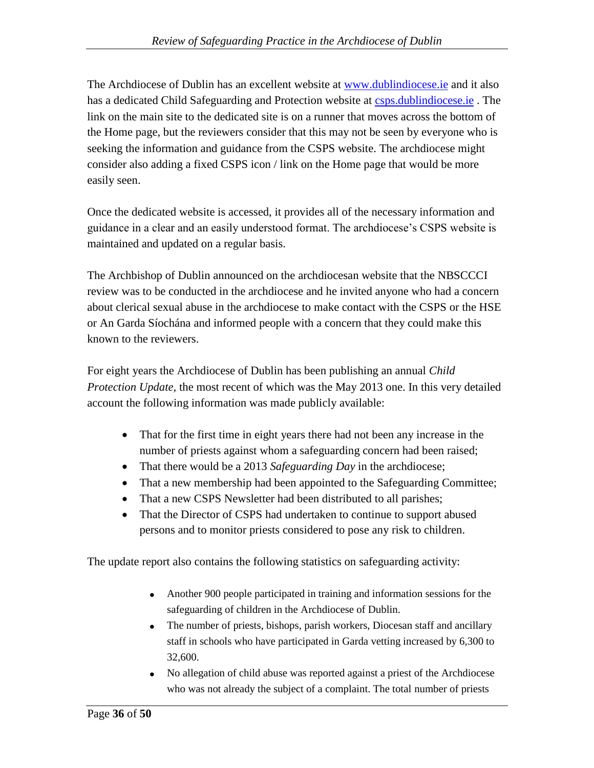The Archdiocese of Dublin has an excellent website at [www.dublindiocese.ie](http://www.dublindiocese.ie/) and it also has a dedicated Child Safeguarding and Protection website at [csps.dublindiocese.ie](http://csps.dublindiocese.ie/). The link on the main site to the dedicated site is on a runner that moves across the bottom of the Home page, but the reviewers consider that this may not be seen by everyone who is seeking the information and guidance from the CSPS website. The archdiocese might consider also adding a fixed CSPS icon / link on the Home page that would be more easily seen.

Once the dedicated website is accessed, it provides all of the necessary information and guidance in a clear and an easily understood format. The archdiocese"s CSPS website is maintained and updated on a regular basis.

The Archbishop of Dublin announced on the archdiocesan website that the NBSCCCI review was to be conducted in the archdiocese and he invited anyone who had a concern about clerical sexual abuse in the archdiocese to make contact with the CSPS or the HSE or An Garda Síochána and informed people with a concern that they could make this known to the reviewers.

For eight years the Archdiocese of Dublin has been publishing an annual *Child Protection Update*, the most recent of which was the May 2013 one. In this very detailed account the following information was made publicly available:

- That for the first time in eight years there had not been any increase in the number of priests against whom a safeguarding concern had been raised;
- That there would be a 2013 *Safeguarding Day* in the archdiocese;
- That a new membership had been appointed to the Safeguarding Committee;
- That a new CSPS Newsletter had been distributed to all parishes;
- That the Director of CSPS had undertaken to continue to support abused persons and to monitor priests considered to pose any risk to children.

The update report also contains the following statistics on safeguarding activity:

- Another 900 people participated in training and information sessions for the safeguarding of children in the Archdiocese of Dublin.
- The number of priests, bishops, parish workers, Diocesan staff and ancillary staff in schools who have participated in Garda vetting increased by 6,300 to 32,600.
- No allegation of child abuse was reported against a priest of the Archdiocese who was not already the subject of a complaint. The total number of priests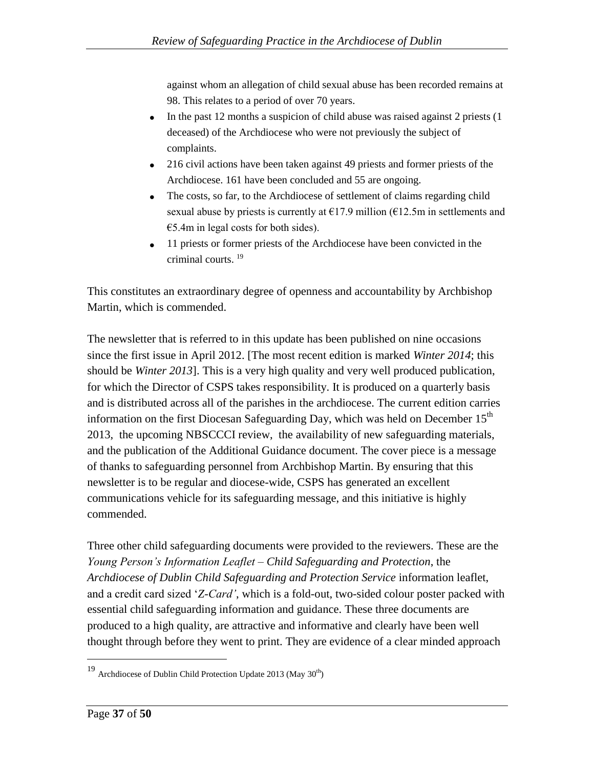against whom an allegation of child sexual abuse has been recorded remains at 98. This relates to a period of over 70 years.

- $\bullet$  In the past 12 months a suspicion of child abuse was raised against 2 priests (1) deceased) of the Archdiocese who were not previously the subject of complaints.
- 216 civil actions have been taken against 49 priests and former priests of the Archdiocese. 161 have been concluded and 55 are ongoing.
- The costs, so far, to the Archdiocese of settlement of claims regarding child sexual abuse by priests is currently at  $E17.9$  million ( $E12.5$ m in settlements and  $€5.4m$  in legal costs for both sides).
- 11 priests or former priests of the Archdiocese have been convicted in the criminal courts. <sup>19</sup>

This constitutes an extraordinary degree of openness and accountability by Archbishop Martin, which is commended.

The newsletter that is referred to in this update has been published on nine occasions since the first issue in April 2012. [The most recent edition is marked *Winter 2014*; this should be *Winter 2013*]. This is a very high quality and very well produced publication, for which the Director of CSPS takes responsibility. It is produced on a quarterly basis and is distributed across all of the parishes in the archdiocese. The current edition carries information on the first Diocesan Safeguarding Day, which was held on December  $15<sup>th</sup>$ 2013, the upcoming NBSCCCI review, the availability of new safeguarding materials, and the publication of the Additional Guidance document. The cover piece is a message of thanks to safeguarding personnel from Archbishop Martin. By ensuring that this newsletter is to be regular and diocese-wide, CSPS has generated an excellent communications vehicle for its safeguarding message, and this initiative is highly commended.

Three other child safeguarding documents were provided to the reviewers. These are the *Young Person's Information Leaflet – Child Safeguarding and Protection*, the *Archdiocese of Dublin Child Safeguarding and Protection Service* information leaflet, and a credit card sized "*Z-Card'*, which is a fold-out, two-sided colour poster packed with essential child safeguarding information and guidance. These three documents are produced to a high quality, are attractive and informative and clearly have been well thought through before they went to print. They are evidence of a clear minded approach

 $^{19}$  Archdiocese of Dublin Child Protection Update 2013 (May  $30^{\rm th})$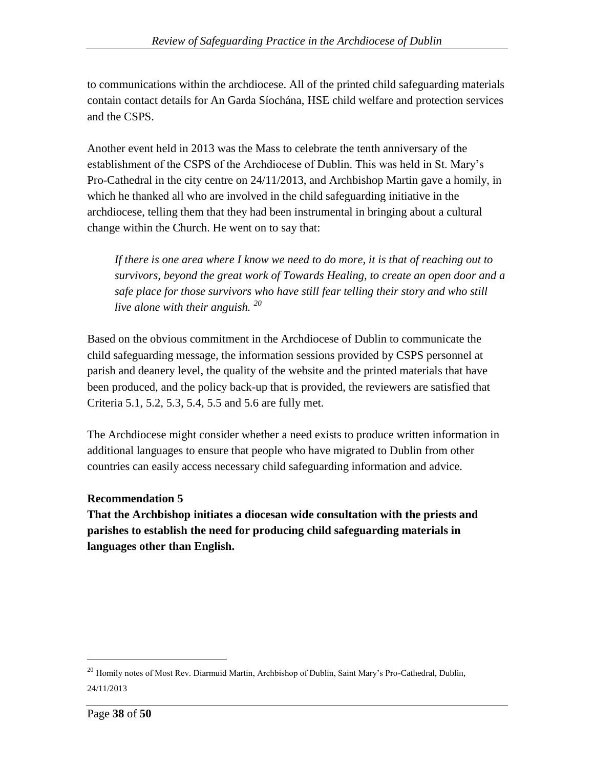to communications within the archdiocese. All of the printed child safeguarding materials contain contact details for An Garda Síochána, HSE child welfare and protection services and the CSPS.

Another event held in 2013 was the Mass to celebrate the tenth anniversary of the establishment of the CSPS of the Archdiocese of Dublin. This was held in St. Mary"s Pro-Cathedral in the city centre on 24/11/2013, and Archbishop Martin gave a homily, in which he thanked all who are involved in the child safeguarding initiative in the archdiocese, telling them that they had been instrumental in bringing about a cultural change within the Church. He went on to say that:

*If there is one area where I know we need to do more, it is that of reaching out to survivors, beyond the great work of Towards Healing, to create an open door and a safe place for those survivors who have still fear telling their story and who still live alone with their anguish. <sup>20</sup>*

Based on the obvious commitment in the Archdiocese of Dublin to communicate the child safeguarding message, the information sessions provided by CSPS personnel at parish and deanery level, the quality of the website and the printed materials that have been produced, and the policy back-up that is provided, the reviewers are satisfied that Criteria 5.1, 5.2, 5.3, 5.4, 5.5 and 5.6 are fully met.

The Archdiocese might consider whether a need exists to produce written information in additional languages to ensure that people who have migrated to Dublin from other countries can easily access necessary child safeguarding information and advice.

## **Recommendation 5**

**That the Archbishop initiates a diocesan wide consultation with the priests and parishes to establish the need for producing child safeguarding materials in languages other than English.**

<sup>&</sup>lt;sup>20</sup> Homily notes of Most Rev. Diarmuid Martin, Archbishop of Dublin, Saint Mary's Pro-Cathedral, Dublin, 24/11/2013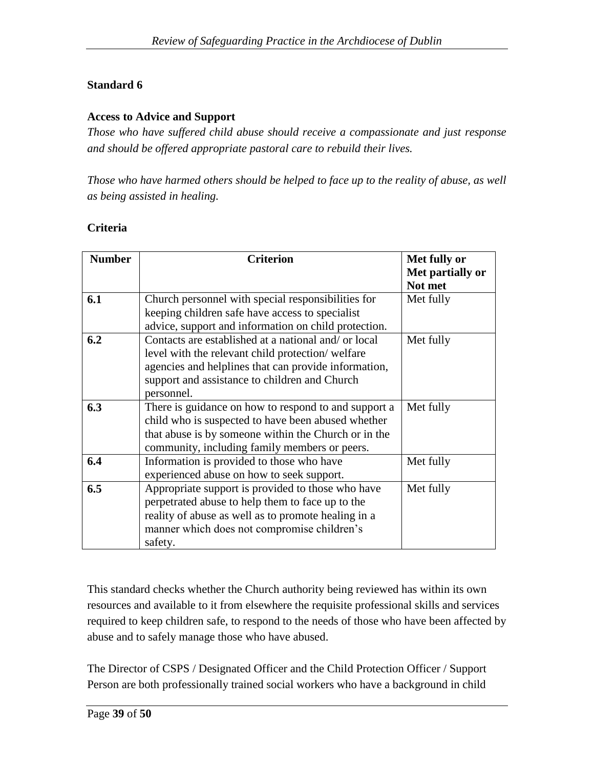## **Standard 6**

#### **Access to Advice and Support**

*Those who have suffered child abuse should receive a compassionate and just response and should be offered appropriate pastoral care to rebuild their lives.*

*Those who have harmed others should be helped to face up to the reality of abuse, as well as being assisted in healing.*

#### **Criteria**

| <b>Number</b> | <b>Criterion</b>                                     | Met fully or                |
|---------------|------------------------------------------------------|-----------------------------|
|               |                                                      | Met partially or<br>Not met |
| 6.1           | Church personnel with special responsibilities for   | Met fully                   |
|               | keeping children safe have access to specialist      |                             |
|               | advice, support and information on child protection. |                             |
| 6.2           | Contacts are established at a national and/ or local | Met fully                   |
|               | level with the relevant child protection/welfare     |                             |
|               | agencies and helplines that can provide information, |                             |
|               | support and assistance to children and Church        |                             |
|               | personnel.                                           |                             |
| 6.3           | There is guidance on how to respond to and support a | Met fully                   |
|               | child who is suspected to have been abused whether   |                             |
|               | that abuse is by someone within the Church or in the |                             |
|               | community, including family members or peers.        |                             |
| 6.4           | Information is provided to those who have            | Met fully                   |
|               | experienced abuse on how to seek support.            |                             |
| 6.5           | Appropriate support is provided to those who have    | Met fully                   |
|               | perpetrated abuse to help them to face up to the     |                             |
|               | reality of abuse as well as to promote healing in a  |                             |
|               | manner which does not compromise children's          |                             |
|               | safety.                                              |                             |

This standard checks whether the Church authority being reviewed has within its own resources and available to it from elsewhere the requisite professional skills and services required to keep children safe, to respond to the needs of those who have been affected by abuse and to safely manage those who have abused.

The Director of CSPS / Designated Officer and the Child Protection Officer / Support Person are both professionally trained social workers who have a background in child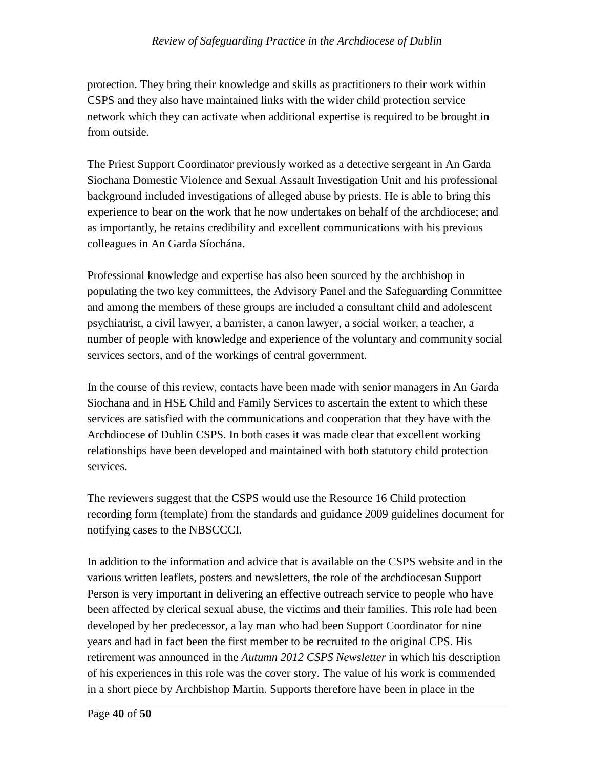protection. They bring their knowledge and skills as practitioners to their work within CSPS and they also have maintained links with the wider child protection service network which they can activate when additional expertise is required to be brought in from outside.

The Priest Support Coordinator previously worked as a detective sergeant in An Garda Siochana Domestic Violence and Sexual Assault Investigation Unit and his professional background included investigations of alleged abuse by priests. He is able to bring this experience to bear on the work that he now undertakes on behalf of the archdiocese; and as importantly, he retains credibility and excellent communications with his previous colleagues in An Garda Síochána.

Professional knowledge and expertise has also been sourced by the archbishop in populating the two key committees, the Advisory Panel and the Safeguarding Committee and among the members of these groups are included a consultant child and adolescent psychiatrist, a civil lawyer, a barrister, a canon lawyer, a social worker, a teacher, a number of people with knowledge and experience of the voluntary and community social services sectors, and of the workings of central government.

In the course of this review, contacts have been made with senior managers in An Garda Siochana and in HSE Child and Family Services to ascertain the extent to which these services are satisfied with the communications and cooperation that they have with the Archdiocese of Dublin CSPS. In both cases it was made clear that excellent working relationships have been developed and maintained with both statutory child protection services.

The reviewers suggest that the CSPS would use the Resource 16 Child protection recording form (template) from the standards and guidance 2009 guidelines document for notifying cases to the NBSCCCI.

In addition to the information and advice that is available on the CSPS website and in the various written leaflets, posters and newsletters, the role of the archdiocesan Support Person is very important in delivering an effective outreach service to people who have been affected by clerical sexual abuse, the victims and their families. This role had been developed by her predecessor, a lay man who had been Support Coordinator for nine years and had in fact been the first member to be recruited to the original CPS. His retirement was announced in the *Autumn 2012 CSPS Newsletter* in which his description of his experiences in this role was the cover story. The value of his work is commended in a short piece by Archbishop Martin. Supports therefore have been in place in the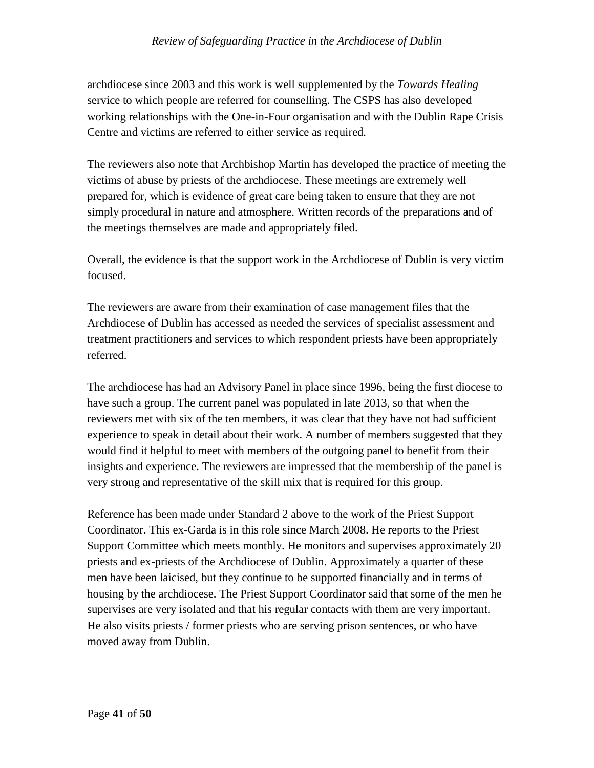archdiocese since 2003 and this work is well supplemented by the *Towards Healing* service to which people are referred for counselling. The CSPS has also developed working relationships with the One-in-Four organisation and with the Dublin Rape Crisis Centre and victims are referred to either service as required.

The reviewers also note that Archbishop Martin has developed the practice of meeting the victims of abuse by priests of the archdiocese. These meetings are extremely well prepared for, which is evidence of great care being taken to ensure that they are not simply procedural in nature and atmosphere. Written records of the preparations and of the meetings themselves are made and appropriately filed.

Overall, the evidence is that the support work in the Archdiocese of Dublin is very victim focused.

The reviewers are aware from their examination of case management files that the Archdiocese of Dublin has accessed as needed the services of specialist assessment and treatment practitioners and services to which respondent priests have been appropriately referred.

The archdiocese has had an Advisory Panel in place since 1996, being the first diocese to have such a group. The current panel was populated in late 2013, so that when the reviewers met with six of the ten members, it was clear that they have not had sufficient experience to speak in detail about their work. A number of members suggested that they would find it helpful to meet with members of the outgoing panel to benefit from their insights and experience. The reviewers are impressed that the membership of the panel is very strong and representative of the skill mix that is required for this group.

Reference has been made under Standard 2 above to the work of the Priest Support Coordinator. This ex-Garda is in this role since March 2008. He reports to the Priest Support Committee which meets monthly. He monitors and supervises approximately 20 priests and ex-priests of the Archdiocese of Dublin. Approximately a quarter of these men have been laicised, but they continue to be supported financially and in terms of housing by the archdiocese. The Priest Support Coordinator said that some of the men he supervises are very isolated and that his regular contacts with them are very important. He also visits priests / former priests who are serving prison sentences, or who have moved away from Dublin.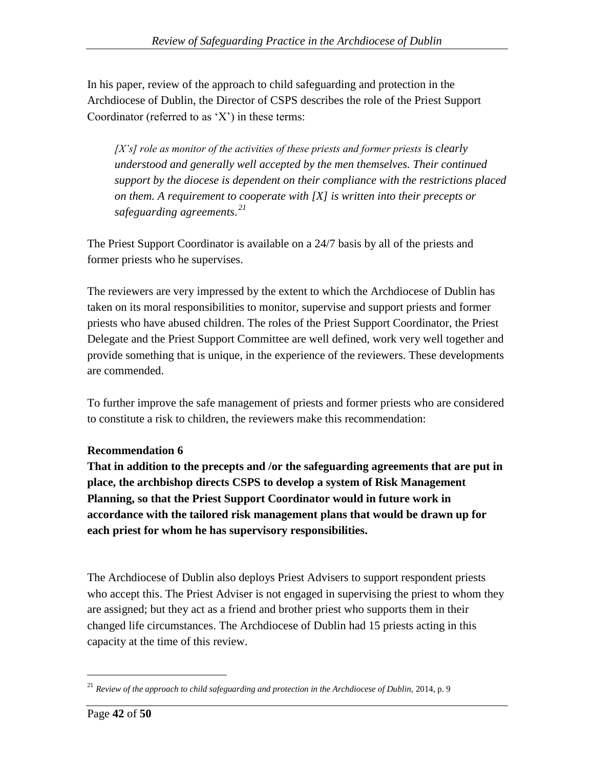In his paper, review of the approach to child safeguarding and protection in the Archdiocese of Dublin, the Director of CSPS describes the role of the Priest Support Coordinator (referred to as  $'X'$ ) in these terms:

*[X's] role as monitor of the activities of these priests and former priests is clearly understood and generally well accepted by the men themselves. Their continued support by the diocese is dependent on their compliance with the restrictions placed on them. A requirement to cooperate with [X] is written into their precepts or safeguarding agreements. 21*

The Priest Support Coordinator is available on a 24/7 basis by all of the priests and former priests who he supervises.

The reviewers are very impressed by the extent to which the Archdiocese of Dublin has taken on its moral responsibilities to monitor, supervise and support priests and former priests who have abused children. The roles of the Priest Support Coordinator, the Priest Delegate and the Priest Support Committee are well defined, work very well together and provide something that is unique, in the experience of the reviewers. These developments are commended.

To further improve the safe management of priests and former priests who are considered to constitute a risk to children, the reviewers make this recommendation:

## **Recommendation 6**

**That in addition to the precepts and /or the safeguarding agreements that are put in place, the archbishop directs CSPS to develop a system of Risk Management Planning, so that the Priest Support Coordinator would in future work in accordance with the tailored risk management plans that would be drawn up for each priest for whom he has supervisory responsibilities.**

The Archdiocese of Dublin also deploys Priest Advisers to support respondent priests who accept this. The Priest Adviser is not engaged in supervising the priest to whom they are assigned; but they act as a friend and brother priest who supports them in their changed life circumstances. The Archdiocese of Dublin had 15 priests acting in this capacity at the time of this review.

<sup>&</sup>lt;sup>21</sup> Review of the approach to child safeguarding and protection in the Archdiocese of Dublin, 2014, p. 9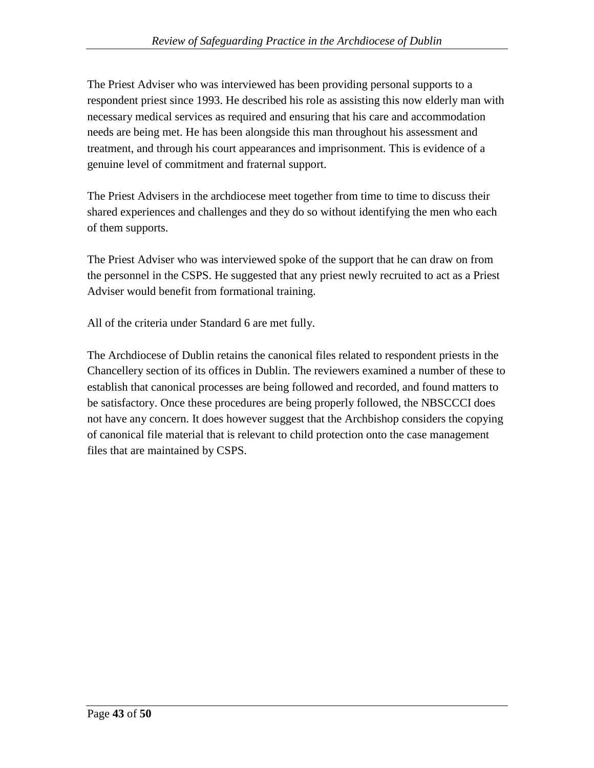The Priest Adviser who was interviewed has been providing personal supports to a respondent priest since 1993. He described his role as assisting this now elderly man with necessary medical services as required and ensuring that his care and accommodation needs are being met. He has been alongside this man throughout his assessment and treatment, and through his court appearances and imprisonment. This is evidence of a genuine level of commitment and fraternal support.

The Priest Advisers in the archdiocese meet together from time to time to discuss their shared experiences and challenges and they do so without identifying the men who each of them supports.

The Priest Adviser who was interviewed spoke of the support that he can draw on from the personnel in the CSPS. He suggested that any priest newly recruited to act as a Priest Adviser would benefit from formational training.

All of the criteria under Standard 6 are met fully.

The Archdiocese of Dublin retains the canonical files related to respondent priests in the Chancellery section of its offices in Dublin. The reviewers examined a number of these to establish that canonical processes are being followed and recorded, and found matters to be satisfactory. Once these procedures are being properly followed, the NBSCCCI does not have any concern. It does however suggest that the Archbishop considers the copying of canonical file material that is relevant to child protection onto the case management files that are maintained by CSPS.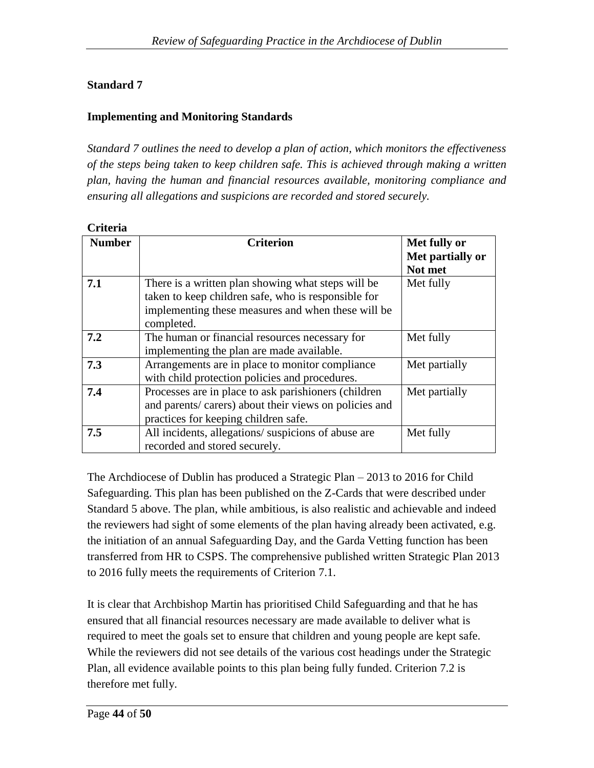## **Standard 7**

## **Implementing and Monitoring Standards**

*Standard 7 outlines the need to develop a plan of action, which monitors the effectiveness of the steps being taken to keep children safe. This is achieved through making a written plan, having the human and financial resources available, monitoring compliance and ensuring all allegations and suspicions are recorded and stored securely.*

| <b>Criteria</b> |                                                                                                                                                                               |                                             |
|-----------------|-------------------------------------------------------------------------------------------------------------------------------------------------------------------------------|---------------------------------------------|
| <b>Number</b>   | <b>Criterion</b>                                                                                                                                                              | Met fully or<br>Met partially or<br>Not met |
| 7.1             | There is a written plan showing what steps will be<br>taken to keep children safe, who is responsible for<br>implementing these measures and when these will be<br>completed. | Met fully                                   |
| 7.2             | The human or financial resources necessary for<br>implementing the plan are made available.                                                                                   | Met fully                                   |
| 7.3             | Arrangements are in place to monitor compliance<br>with child protection policies and procedures.                                                                             | Met partially                               |
| 7.4             | Processes are in place to ask parishioners (children<br>and parents/ carers) about their views on policies and<br>practices for keeping children safe.                        | Met partially                               |
| 7.5             | All incidents, allegations/suspicions of abuse are<br>recorded and stored securely.                                                                                           | Met fully                                   |

The Archdiocese of Dublin has produced a Strategic Plan – 2013 to 2016 for Child Safeguarding. This plan has been published on the Z-Cards that were described under Standard 5 above. The plan, while ambitious, is also realistic and achievable and indeed the reviewers had sight of some elements of the plan having already been activated, e.g. the initiation of an annual Safeguarding Day, and the Garda Vetting function has been transferred from HR to CSPS. The comprehensive published written Strategic Plan 2013 to 2016 fully meets the requirements of Criterion 7.1.

It is clear that Archbishop Martin has prioritised Child Safeguarding and that he has ensured that all financial resources necessary are made available to deliver what is required to meet the goals set to ensure that children and young people are kept safe. While the reviewers did not see details of the various cost headings under the Strategic Plan, all evidence available points to this plan being fully funded. Criterion 7.2 is therefore met fully.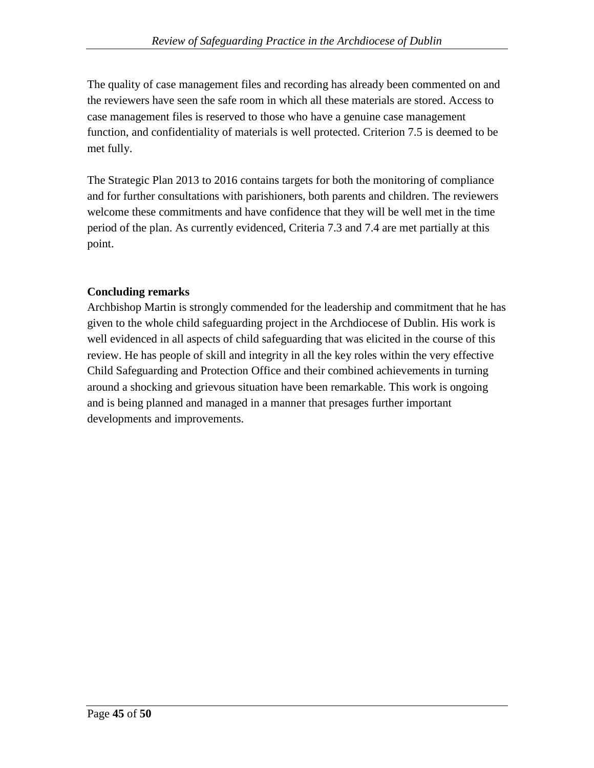The quality of case management files and recording has already been commented on and the reviewers have seen the safe room in which all these materials are stored. Access to case management files is reserved to those who have a genuine case management function, and confidentiality of materials is well protected. Criterion 7.5 is deemed to be met fully.

The Strategic Plan 2013 to 2016 contains targets for both the monitoring of compliance and for further consultations with parishioners, both parents and children. The reviewers welcome these commitments and have confidence that they will be well met in the time period of the plan. As currently evidenced, Criteria 7.3 and 7.4 are met partially at this point.

## **Concluding remarks**

Archbishop Martin is strongly commended for the leadership and commitment that he has given to the whole child safeguarding project in the Archdiocese of Dublin. His work is well evidenced in all aspects of child safeguarding that was elicited in the course of this review. He has people of skill and integrity in all the key roles within the very effective Child Safeguarding and Protection Office and their combined achievements in turning around a shocking and grievous situation have been remarkable. This work is ongoing and is being planned and managed in a manner that presages further important developments and improvements.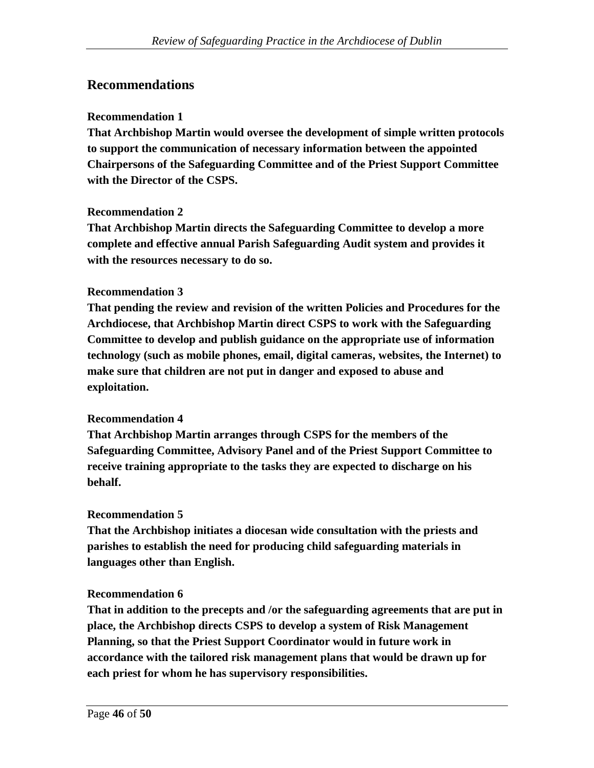## **Recommendations**

### **Recommendation 1**

**That Archbishop Martin would oversee the development of simple written protocols to support the communication of necessary information between the appointed Chairpersons of the Safeguarding Committee and of the Priest Support Committee with the Director of the CSPS.**

#### **Recommendation 2**

**That Archbishop Martin directs the Safeguarding Committee to develop a more complete and effective annual Parish Safeguarding Audit system and provides it with the resources necessary to do so.** 

#### **Recommendation 3**

**That pending the review and revision of the written Policies and Procedures for the Archdiocese, that Archbishop Martin direct CSPS to work with the Safeguarding Committee to develop and publish guidance on the appropriate use of information technology (such as mobile phones, email, digital cameras, websites, the Internet) to make sure that children are not put in danger and exposed to abuse and exploitation.**

#### **Recommendation 4**

**That Archbishop Martin arranges through CSPS for the members of the Safeguarding Committee, Advisory Panel and of the Priest Support Committee to receive training appropriate to the tasks they are expected to discharge on his behalf.**

#### **Recommendation 5**

**That the Archbishop initiates a diocesan wide consultation with the priests and parishes to establish the need for producing child safeguarding materials in languages other than English.**

#### **Recommendation 6**

**That in addition to the precepts and /or the safeguarding agreements that are put in place, the Archbishop directs CSPS to develop a system of Risk Management Planning, so that the Priest Support Coordinator would in future work in accordance with the tailored risk management plans that would be drawn up for each priest for whom he has supervisory responsibilities.**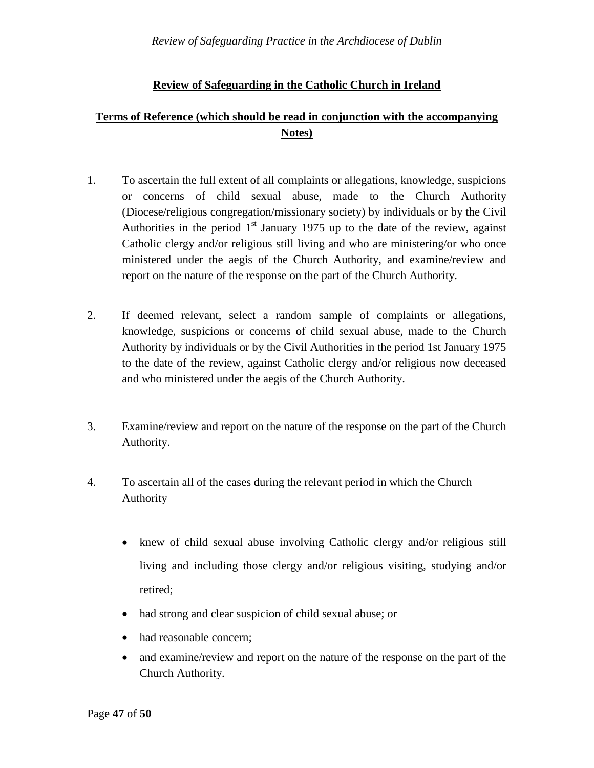## **Review of Safeguarding in the Catholic Church in Ireland**

## **Terms of Reference (which should be read in conjunction with the accompanying Notes)**

- 1. To ascertain the full extent of all complaints or allegations, knowledge, suspicions or concerns of child sexual abuse, made to the Church Authority (Diocese/religious congregation/missionary society) by individuals or by the Civil Authorities in the period  $1<sup>st</sup>$  January 1975 up to the date of the review, against Catholic clergy and/or religious still living and who are ministering/or who once ministered under the aegis of the Church Authority, and examine/review and report on the nature of the response on the part of the Church Authority.
- 2. If deemed relevant, select a random sample of complaints or allegations, knowledge, suspicions or concerns of child sexual abuse, made to the Church Authority by individuals or by the Civil Authorities in the period 1st January 1975 to the date of the review, against Catholic clergy and/or religious now deceased and who ministered under the aegis of the Church Authority.
- 3. Examine/review and report on the nature of the response on the part of the Church Authority.
- 4. To ascertain all of the cases during the relevant period in which the Church Authority
	- knew of child sexual abuse involving Catholic clergy and/or religious still living and including those clergy and/or religious visiting, studying and/or retired;
	- had strong and clear suspicion of child sexual abuse; or
	- had reasonable concern:
	- and examine/review and report on the nature of the response on the part of the Church Authority.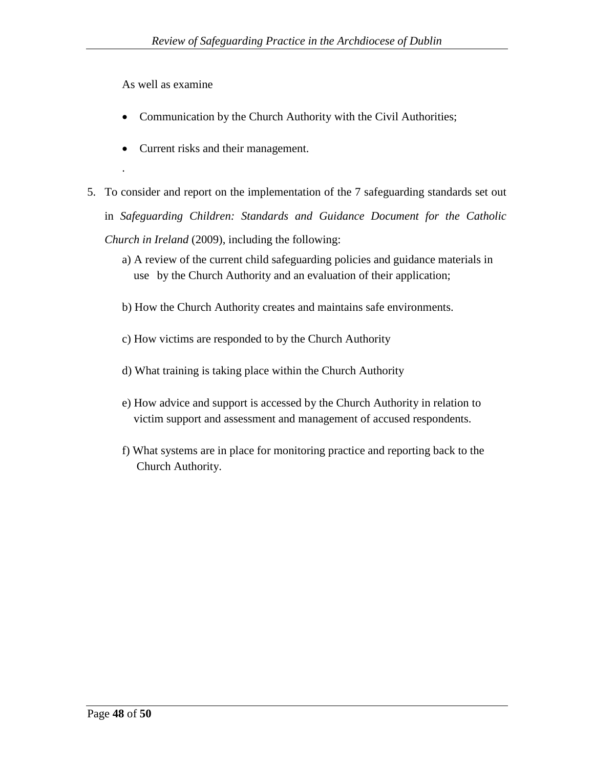As well as examine

.

- Communication by the Church Authority with the Civil Authorities;
- Current risks and their management.
- 5. To consider and report on the implementation of the 7 safeguarding standards set out in *Safeguarding Children: Standards and Guidance Document for the Catholic Church in Ireland* (2009), including the following:
	- a) A review of the current child safeguarding policies and guidance materials in use by the Church Authority and an evaluation of their application;
	- b) How the Church Authority creates and maintains safe environments.
	- c) How victims are responded to by the Church Authority
	- d) What training is taking place within the Church Authority
	- e) How advice and support is accessed by the Church Authority in relation to victim support and assessment and management of accused respondents.
	- f) What systems are in place for monitoring practice and reporting back to the Church Authority.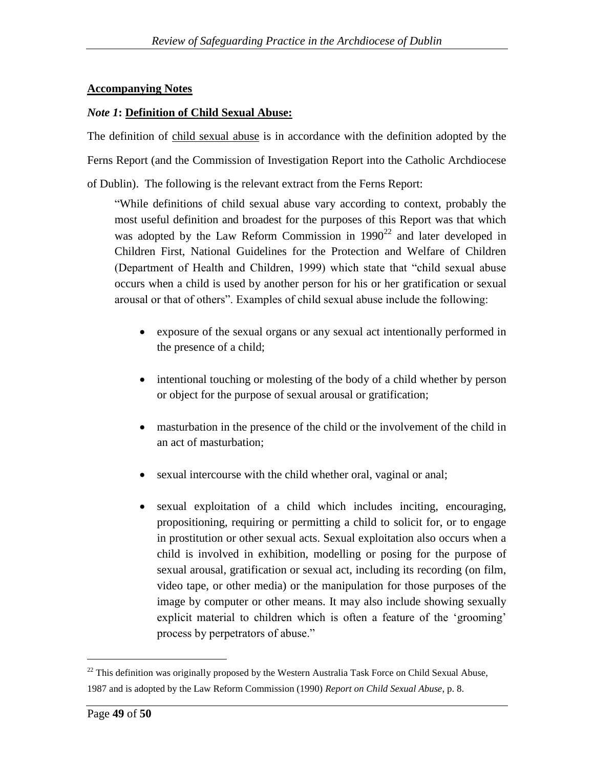### **Accompanying Notes**

#### *Note 1***: Definition of Child Sexual Abuse:**

The definition of child sexual abuse is in accordance with the definition adopted by the Ferns Report (and the Commission of Investigation Report into the Catholic Archdiocese of Dublin). The following is the relevant extract from the Ferns Report:

"While definitions of child sexual abuse vary according to context, probably the most useful definition and broadest for the purposes of this Report was that which was adopted by the Law Reform Commission in  $1990^{22}$  and later developed in Children First, National Guidelines for the Protection and Welfare of Children (Department of Health and Children, 1999) which state that "child sexual abuse occurs when a child is used by another person for his or her gratification or sexual arousal or that of others". Examples of child sexual abuse include the following:

- exposure of the sexual organs or any sexual act intentionally performed in the presence of a child;
- intentional touching or molesting of the body of a child whether by person or object for the purpose of sexual arousal or gratification;
- masturbation in the presence of the child or the involvement of the child in an act of masturbation;
- sexual intercourse with the child whether oral, vaginal or anal;
- sexual exploitation of a child which includes inciting, encouraging, propositioning, requiring or permitting a child to solicit for, or to engage in prostitution or other sexual acts. Sexual exploitation also occurs when a child is involved in exhibition, modelling or posing for the purpose of sexual arousal, gratification or sexual act, including its recording (on film, video tape, or other media) or the manipulation for those purposes of the image by computer or other means. It may also include showing sexually explicit material to children which is often a feature of the 'grooming' process by perpetrators of abuse."

 $22$  This definition was originally proposed by the Western Australia Task Force on Child Sexual Abuse, 1987 and is adopted by the Law Reform Commission (1990) *Report on Child Sexual Abuse*, p. 8.